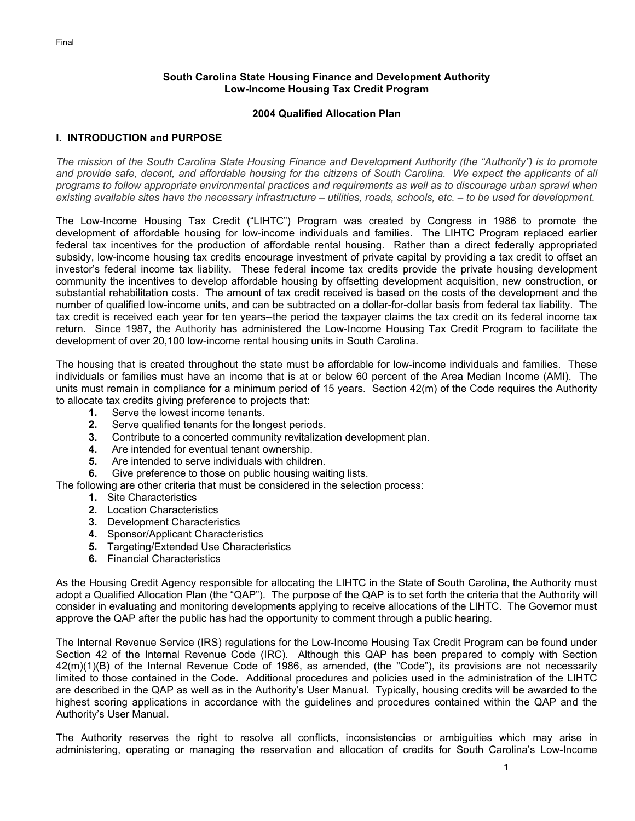### **South Carolina State Housing Finance and Development Authority Low-Income Housing Tax Credit Program**

### **2004 Qualified Allocation Plan**

# **I. INTRODUCTION and PURPOSE**

*The mission of the South Carolina State Housing Finance and Development Authority (the "Authority") is to promote and provide safe, decent, and affordable housing for the citizens of South Carolina. We expect the applicants of all programs to follow appropriate environmental practices and requirements as well as to discourage urban sprawl when existing available sites have the necessary infrastructure – utilities, roads, schools, etc. – to be used for development.* 

The Low-Income Housing Tax Credit ("LIHTC") Program was created by Congress in 1986 to promote the development of affordable housing for low-income individuals and families. The LIHTC Program replaced earlier federal tax incentives for the production of affordable rental housing. Rather than a direct federally appropriated subsidy, low-income housing tax credits encourage investment of private capital by providing a tax credit to offset an investor's federal income tax liability. These federal income tax credits provide the private housing development community the incentives to develop affordable housing by offsetting development acquisition, new construction, or substantial rehabilitation costs. The amount of tax credit received is based on the costs of the development and the number of qualified low-income units, and can be subtracted on a dollar-for-dollar basis from federal tax liability. The tax credit is received each year for ten years--the period the taxpayer claims the tax credit on its federal income tax return. Since 1987, the Authority has administered the Low-Income Housing Tax Credit Program to facilitate the development of over 20,100 low-income rental housing units in South Carolina.

The housing that is created throughout the state must be affordable for low-income individuals and families. These individuals or families must have an income that is at or below 60 percent of the Area Median Income (AMI). The units must remain in compliance for a minimum period of 15 years. Section 42(m) of the Code requires the Authority to allocate tax credits giving preference to projects that:

- **1.** Serve the lowest income tenants.
- **2.** Serve qualified tenants for the longest periods.
- **3.** Contribute to a concerted community revitalization development plan.
- **4.** Are intended for eventual tenant ownership.
- **5.** Are intended to serve individuals with children.
- **6.** Give preference to those on public housing waiting lists.

The following are other criteria that must be considered in the selection process:

- **1.** Site Characteristics
- **2.** Location Characteristics
- **3.** Development Characteristics
- **4.** Sponsor/Applicant Characteristics
- **5.** Targeting/Extended Use Characteristics
- **6.** Financial Characteristics

As the Housing Credit Agency responsible for allocating the LIHTC in the State of South Carolina, the Authority must adopt a Qualified Allocation Plan (the "QAP"). The purpose of the QAP is to set forth the criteria that the Authority will consider in evaluating and monitoring developments applying to receive allocations of the LIHTC. The Governor must approve the QAP after the public has had the opportunity to comment through a public hearing.

The Internal Revenue Service (IRS) regulations for the Low-Income Housing Tax Credit Program can be found under Section 42 of the Internal Revenue Code (IRC). Although this QAP has been prepared to comply with Section 42(m)(1)(B) of the Internal Revenue Code of 1986, as amended, (the "Code"), its provisions are not necessarily limited to those contained in the Code. Additional procedures and policies used in the administration of the LIHTC are described in the QAP as well as in the Authority's User Manual. Typically, housing credits will be awarded to the highest scoring applications in accordance with the guidelines and procedures contained within the QAP and the Authority's User Manual.

The Authority reserves the right to resolve all conflicts, inconsistencies or ambiguities which may arise in administering, operating or managing the reservation and allocation of credits for South Carolina's Low-Income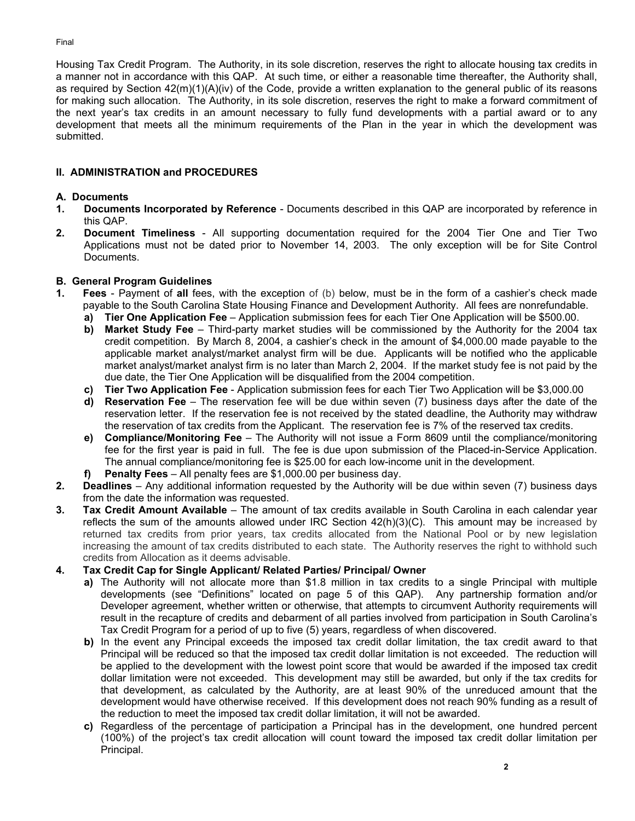Housing Tax Credit Program. The Authority, in its sole discretion, reserves the right to allocate housing tax credits in a manner not in accordance with this QAP. At such time, or either a reasonable time thereafter, the Authority shall, as required by Section 42(m)(1)(A)(iv) of the Code, provide a written explanation to the general public of its reasons for making such allocation. The Authority, in its sole discretion, reserves the right to make a forward commitment of the next year's tax credits in an amount necessary to fully fund developments with a partial award or to any development that meets all the minimum requirements of the Plan in the year in which the development was submitted.

## **II. ADMINISTRATION and PROCEDURES**

## **A. Documents**

- **1. Documents Incorporated by Reference** Documents described in this QAP are incorporated by reference in this QAP.
- **2. Document Timeliness**  All supporting documentation required for the 2004 Tier One and Tier Two Applications must not be dated prior to November 14, 2003. The only exception will be for Site Control Documents.

## **B. General Program Guidelines**

- **1. Fees** Payment of **all** fees, with the exception of (b) below, must be in the form of a cashier's check made payable to the South Carolina State Housing Finance and Development Authority. All fees are nonrefundable.
	- **a) Tier One Application Fee** Application submission fees for each Tier One Application will be \$500.00.
	- **b) Market Study Fee**  Third-party market studies will be commissioned by the Authority for the 2004 tax credit competition. By March 8, 2004, a cashier's check in the amount of \$4,000.00 made payable to the applicable market analyst/market analyst firm will be due. Applicants will be notified who the applicable market analyst/market analyst firm is no later than March 2, 2004. If the market study fee is not paid by the due date, the Tier One Application will be disqualified from the 2004 competition.
	- **c) Tier Two Application Fee** Application submission fees for each Tier Two Application will be \$3,000.00
	- **d) Reservation Fee** The reservation fee will be due within seven (7) business days after the date of the reservation letter. If the reservation fee is not received by the stated deadline, the Authority may withdraw the reservation of tax credits from the Applicant. The reservation fee is 7% of the reserved tax credits.
	- **e) Compliance/Monitoring Fee** The Authority will not issue a Form 8609 until the compliance/monitoring fee for the first year is paid in full. The fee is due upon submission of the Placed-in-Service Application. The annual compliance/monitoring fee is \$25.00 for each low-income unit in the development.
	- **f) Penalty Fees**  All penalty fees are \$1,000.00 per business day.
- **2. Deadlines** Any additional information requested by the Authority will be due within seven (7) business days from the date the information was requested.
- **3. Tax Credit Amount Available** The amount of tax credits available in South Carolina in each calendar year reflects the sum of the amounts allowed under IRC Section  $42(h)(3)(C)$ . This amount may be increased by returned tax credits from prior years, tax credits allocated from the National Pool or by new legislation increasing the amount of tax credits distributed to each state. The Authority reserves the right to withhold such credits from Allocation as it deems advisable.

# **4. Tax Credit Cap for Single Applicant/ Related Parties/ Principal/ Owner**

- **a)** The Authority will not allocate more than \$1.8 million in tax credits to a single Principal with multiple developments (see "Definitions" located on page 5 of this QAP). Any partnership formation and/or Developer agreement, whether written or otherwise, that attempts to circumvent Authority requirements will result in the recapture of credits and debarment of all parties involved from participation in South Carolina's Tax Credit Program for a period of up to five (5) years, regardless of when discovered.
- **b)** In the event any Principal exceeds the imposed tax credit dollar limitation, the tax credit award to that Principal will be reduced so that the imposed tax credit dollar limitation is not exceeded. The reduction will be applied to the development with the lowest point score that would be awarded if the imposed tax credit dollar limitation were not exceeded. This development may still be awarded, but only if the tax credits for that development, as calculated by the Authority, are at least 90% of the unreduced amount that the development would have otherwise received. If this development does not reach 90% funding as a result of the reduction to meet the imposed tax credit dollar limitation, it will not be awarded.
- **c)** Regardless of the percentage of participation a Principal has in the development, one hundred percent (100%) of the project's tax credit allocation will count toward the imposed tax credit dollar limitation per Principal.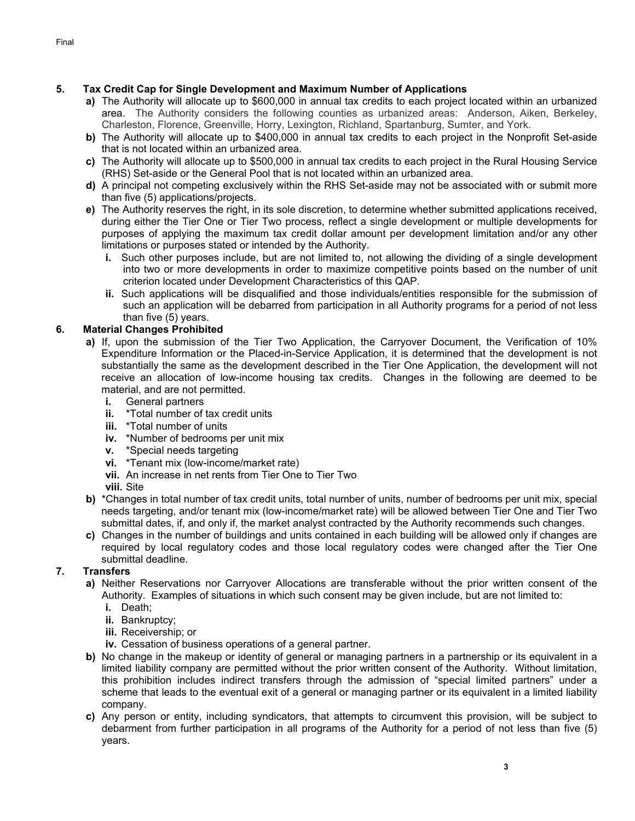- **a)** The Authority will allocate up to \$600,000 in annual tax credits to each project located within an urbanized area. The Authority considers the following counties as urbanized areas: Anderson, Aiken, Berkeley, Charleston, Florence, Greenville, Horry, Lexington, Richland, Spartanburg, Sumter, and York.
- **b)** The Authority will allocate up to \$400,000 in annual tax credits to each project in the Nonprofit Set-aside that is not located within an urbanized area.
- **c)** The Authority will allocate up to \$500,000 in annual tax credits to each project in the Rural Housing Service (RHS) Set-aside or the General Pool that is not located within an urbanized area.
- **d)** A principal not competing exclusively within the RHS Set-aside may not be associated with or submit more than five (5) applications/projects.
- **e)** The Authority reserves the right, in its sole discretion, to determine whether submitted applications received, during either the Tier One or Tier Two process, reflect a single development or multiple developments for purposes of applying the maximum tax credit dollar amount per development limitation and/or any other limitations or purposes stated or intended by the Authority.
	- **i.** Such other purposes include, but are not limited to, not allowing the dividing of a single development into two or more developments in order to maximize competitive points based on the number of unit criterion located under Development Characteristics of this QAP.
	- **ii.** Such applications will be disqualified and those individuals/entities responsible for the submission of such an application will be debarred from participation in all Authority programs for a period of not less than five (5) years.

# **6. Material Changes Prohibited**

- **a)** If, upon the submission of the Tier Two Application, the Carryover Document, the Verification of 10% Expenditure Information or the Placed-in-Service Application, it is determined that the development is not substantially the same as the development described in the Tier One Application, the development will not receive an allocation of low-income housing tax credits. Changes in the following are deemed to be material, and are not permitted.
	- **i.** General partners
	- **ii.** \*Total number of tax credit units
	- **iii.** \*Total number of units
	- **iv.** \*Number of bedrooms per unit mix
	- **v.** \*Special needs targeting
	- **vi.** \*Tenant mix (low-income/market rate)
	- **vii.** An increase in net rents from Tier One to Tier Two
	- **viii.** Site
- **b)** \*Changes in total number of tax credit units, total number of units, number of bedrooms per unit mix, special needs targeting, and/or tenant mix (low-income/market rate) will be allowed between Tier One and Tier Two submittal dates, if, and only if, the market analyst contracted by the Authority recommends such changes.
- **c)** Changes in the number of buildings and units contained in each building will be allowed only if changes are required by local regulatory codes and those local regulatory codes were changed after the Tier One submittal deadline.

# **7. Transfers**

- **a)** Neither Reservations nor Carryover Allocations are transferable without the prior written consent of the Authority. Examples of situations in which such consent may be given include, but are not limited to:
	- **i.** Death;
	- **ii.** Bankruptcy;
	- **iii.** Receivership; or
	- **iv.** Cessation of business operations of a general partner.
- **b)** No change in the makeup or identity of general or managing partners in a partnership or its equivalent in a limited liability company are permitted without the prior written consent of the Authority. Without limitation, this prohibition includes indirect transfers through the admission of "special limited partners" under a scheme that leads to the eventual exit of a general or managing partner or its equivalent in a limited liability company.
- **c)** Any person or entity, including syndicators, that attempts to circumvent this provision, will be subject to debarment from further participation in all programs of the Authority for a period of not less than five (5) years.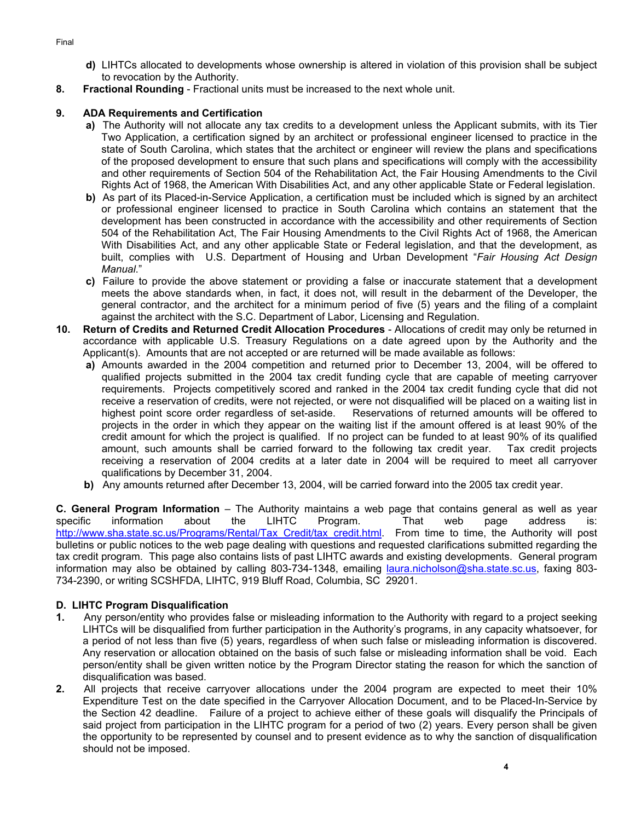- **d)** LIHTCs allocated to developments whose ownership is altered in violation of this provision shall be subject to revocation by the Authority.
- **8. Fractional Rounding** Fractional units must be increased to the next whole unit.

# **9. ADA Requirements and Certification**

- **a)** The Authority will not allocate any tax credits to a development unless the Applicant submits, with its Tier Two Application, a certification signed by an architect or professional engineer licensed to practice in the state of South Carolina, which states that the architect or engineer will review the plans and specifications of the proposed development to ensure that such plans and specifications will comply with the accessibility and other requirements of Section 504 of the Rehabilitation Act, the Fair Housing Amendments to the Civil Rights Act of 1968, the American With Disabilities Act, and any other applicable State or Federal legislation.
- **b)** As part of its Placed-in-Service Application, a certification must be included which is signed by an architect or professional engineer licensed to practice in South Carolina which contains an statement that the development has been constructed in accordance with the accessibility and other requirements of Section 504 of the Rehabilitation Act, The Fair Housing Amendments to the Civil Rights Act of 1968, the American With Disabilities Act, and any other applicable State or Federal legislation, and that the development, as built, complies with U.S. Department of Housing and Urban Development "*Fair Housing Act Design Manual*."
- **c)** Failure to provide the above statement or providing a false or inaccurate statement that a development meets the above standards when, in fact, it does not, will result in the debarment of the Developer, the general contractor, and the architect for a minimum period of five (5) years and the filing of a complaint against the architect with the S.C. Department of Labor, Licensing and Regulation.
- **10. Return of Credits and Returned Credit Allocation Procedures** Allocations of credit may only be returned in accordance with applicable U.S. Treasury Regulations on a date agreed upon by the Authority and the Applicant(s). Amounts that are not accepted or are returned will be made available as follows:
	- **a)** Amounts awarded in the 2004 competition and returned prior to December 13, 2004, will be offered to qualified projects submitted in the 2004 tax credit funding cycle that are capable of meeting carryover requirements. Projects competitively scored and ranked in the 2004 tax credit funding cycle that did not receive a reservation of credits, were not rejected, or were not disqualified will be placed on a waiting list in highest point score order regardless of set-aside. Reservations of returned amounts will be offered to projects in the order in which they appear on the waiting list if the amount offered is at least 90% of the credit amount for which the project is qualified. If no project can be funded to at least 90% of its qualified amount, such amounts shall be carried forward to the following tax credit year. Tax credit projects receiving a reservation of 2004 credits at a later date in 2004 will be required to meet all carryover qualifications by December 31, 2004.
	- **b)** Any amounts returned after December 13, 2004, will be carried forward into the 2005 tax credit year.

**C. General Program Information** – The Authority maintains a web page that contains general as well as year specific information about the LIHTC Program. That web page address is: http://www.sha.state.sc.us/Programs/Rental/Tax\_Credit/tax\_credit.html. From time to time, the Authority will post bulletins or public notices to the web page dealing with questions and requested clarifications submitted regarding the tax credit program. This page also contains lists of past LIHTC awards and existing developments. General program information may also be obtained by calling 803-734-1348, emailing laura.nicholson@sha.state.sc.us, faxing 803-734-2390, or writing SCSHFDA, LIHTC, 919 Bluff Road, Columbia, SC 29201.

# **D. LIHTC Program Disqualification**

- **1.** Any person/entity who provides false or misleading information to the Authority with regard to a project seeking LIHTCs will be disqualified from further participation in the Authority's programs, in any capacity whatsoever, for a period of not less than five (5) years, regardless of when such false or misleading information is discovered. Any reservation or allocation obtained on the basis of such false or misleading information shall be void. Each person/entity shall be given written notice by the Program Director stating the reason for which the sanction of disqualification was based.
- **2.** All projects that receive carryover allocations under the 2004 program are expected to meet their 10% Expenditure Test on the date specified in the Carryover Allocation Document, and to be Placed-In-Service by the Section 42 deadline. Failure of a project to achieve either of these goals will disqualify the Principals of said project from participation in the LIHTC program for a period of two (2) years. Every person shall be given the opportunity to be represented by counsel and to present evidence as to why the sanction of disqualification should not be imposed.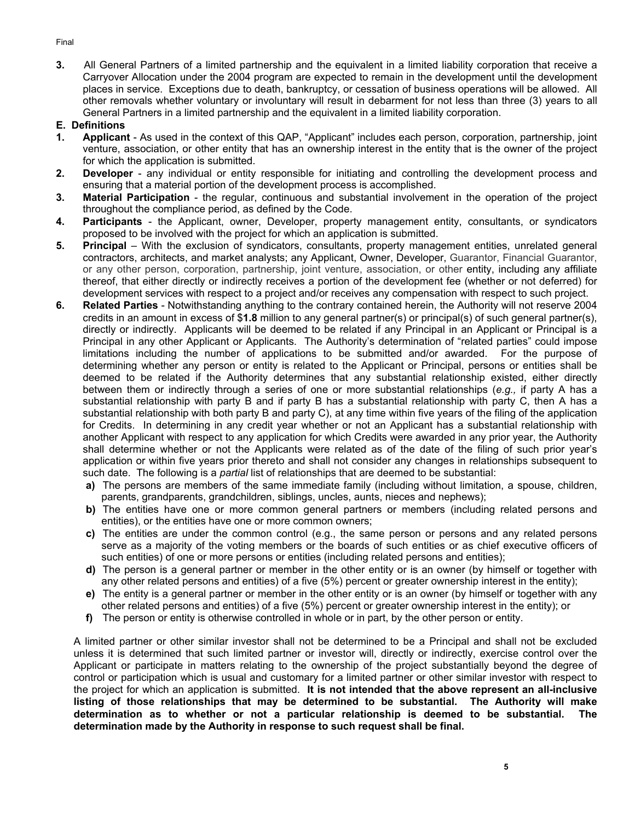Final

**3.** All General Partners of a limited partnership and the equivalent in a limited liability corporation that receive a Carryover Allocation under the 2004 program are expected to remain in the development until the development places in service. Exceptions due to death, bankruptcy, or cessation of business operations will be allowed. All other removals whether voluntary or involuntary will result in debarment for not less than three (3) years to all General Partners in a limited partnership and the equivalent in a limited liability corporation.

### **E. Definitions**

- **1. Applicant** As used in the context of this QAP, "Applicant" includes each person, corporation, partnership, joint venture, association, or other entity that has an ownership interest in the entity that is the owner of the project for which the application is submitted.
- **2. Developer** any individual or entity responsible for initiating and controlling the development process and ensuring that a material portion of the development process is accomplished.
- **3. Material Participation**  the regular, continuous and substantial involvement in the operation of the project throughout the compliance period, as defined by the Code.
- **4. Participants** the Applicant, owner, Developer, property management entity, consultants, or syndicators proposed to be involved with the project for which an application is submitted.
- **5. Principal** With the exclusion of syndicators, consultants, property management entities, unrelated general contractors, architects, and market analysts; any Applicant, Owner, Developer, Guarantor, Financial Guarantor, or any other person, corporation, partnership, joint venture, association, or other entity, including any affiliate thereof, that either directly or indirectly receives a portion of the development fee (whether or not deferred) for development services with respect to a project and/or receives any compensation with respect to such project.
- **6. Related Parties** Notwithstanding anything to the contrary contained herein, the Authority will not reserve 2004 credits in an amount in excess of \$**1.8** million to any general partner(s) or principal(s) of such general partner(s), directly or indirectly. Applicants will be deemed to be related if any Principal in an Applicant or Principal is a Principal in any other Applicant or Applicants. The Authority's determination of "related parties" could impose limitations including the number of applications to be submitted and/or awarded. For the purpose of determining whether any person or entity is related to the Applicant or Principal, persons or entities shall be deemed to be related if the Authority determines that any substantial relationship existed, either directly between them or indirectly through a series of one or more substantial relationships (*e.g.,* if party A has a substantial relationship with party B and if party B has a substantial relationship with party C, then A has a substantial relationship with both party B and party C), at any time within five years of the filing of the application for Credits. In determining in any credit year whether or not an Applicant has a substantial relationship with another Applicant with respect to any application for which Credits were awarded in any prior year, the Authority shall determine whether or not the Applicants were related as of the date of the filing of such prior year's application or within five years prior thereto and shall not consider any changes in relationships subsequent to such date. The following is a *partial* list of relationships that are deemed to be substantial:
	- **a)** The persons are members of the same immediate family (including without limitation, a spouse, children, parents, grandparents, grandchildren, siblings, uncles, aunts, nieces and nephews);
	- **b)** The entities have one or more common general partners or members (including related persons and entities), or the entities have one or more common owners;
	- **c)** The entities are under the common control (e.g., the same person or persons and any related persons serve as a majority of the voting members or the boards of such entities or as chief executive officers of such entities) of one or more persons or entities (including related persons and entities);
	- **d)** The person is a general partner or member in the other entity or is an owner (by himself or together with any other related persons and entities) of a five (5%) percent or greater ownership interest in the entity);
	- **e)** The entity is a general partner or member in the other entity or is an owner (by himself or together with any other related persons and entities) of a five (5%) percent or greater ownership interest in the entity); or
	- **f)** The person or entity is otherwise controlled in whole or in part, by the other person or entity.

A limited partner or other similar investor shall not be determined to be a Principal and shall not be excluded unless it is determined that such limited partner or investor will, directly or indirectly, exercise control over the Applicant or participate in matters relating to the ownership of the project substantially beyond the degree of control or participation which is usual and customary for a limited partner or other similar investor with respect to the project for which an application is submitted. **It is not intended that the above represent an all-inclusive listing of those relationships that may be determined to be substantial. The Authority will make determination as to whether or not a particular relationship is deemed to be substantial. The determination made by the Authority in response to such request shall be final.**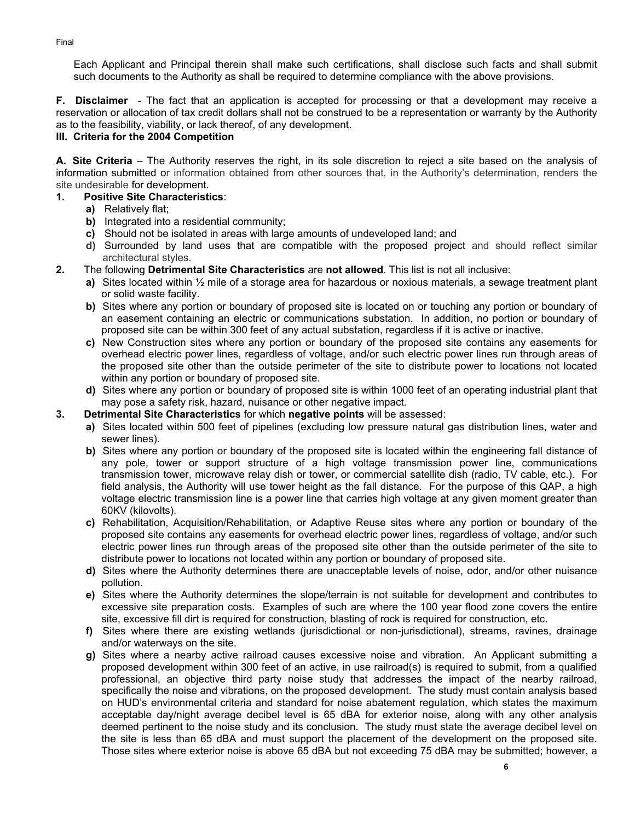Each Applicant and Principal therein shall make such certifications, shall disclose such facts and shall submit such documents to the Authority as shall be required to determine compliance with the above provisions.

**F. Disclaimer** - The fact that an application is accepted for processing or that a development may receive a reservation or allocation of tax credit dollars shall not be construed to be a representation or warranty by the Authority as to the feasibility, viability, or lack thereof, of any development.

### **III. Criteria for the 2004 Competition**

**A. Site Criteria** – The Authority reserves the right, in its sole discretion to reject a site based on the analysis of information submitted or information obtained from other sources that, in the Authority's determination, renders the site undesirable for development.

### **1. Positive Site Characteristics**:

- **a)** Relatively flat;
- **b)** Integrated into a residential community;
- **c)** Should not be isolated in areas with large amounts of undeveloped land; and
- **d)** Surrounded by land uses that are compatible with the proposed project and should reflect similar architectural styles.
- **2.** The following **Detrimental Site Characteristics** are **not allowed**. This list is not all inclusive:
	- **a)** Sites located within ½ mile of a storage area for hazardous or noxious materials, a sewage treatment plant or solid waste facility.
	- **b)** Sites where any portion or boundary of proposed site is located on or touching any portion or boundary of an easement containing an electric or communications substation. In addition, no portion or boundary of proposed site can be within 300 feet of any actual substation, regardless if it is active or inactive.
	- **c)** New Construction sites where any portion or boundary of the proposed site contains any easements for overhead electric power lines, regardless of voltage, and/or such electric power lines run through areas of the proposed site other than the outside perimeter of the site to distribute power to locations not located within any portion or boundary of proposed site.
	- **d)** Sites where any portion or boundary of proposed site is within 1000 feet of an operating industrial plant that may pose a safety risk, hazard, nuisance or other negative impact.
- **3. Detrimental Site Characteristics** for which **negative points** will be assessed:
	- **a)** Sites located within 500 feet of pipelines (excluding low pressure natural gas distribution lines, water and sewer lines).
	- **b)** Sites where any portion or boundary of the proposed site is located within the engineering fall distance of any pole, tower or support structure of a high voltage transmission power line, communications transmission tower, microwave relay dish or tower, or commercial satellite dish (radio, TV cable, etc.). For field analysis, the Authority will use tower height as the fall distance. For the purpose of this QAP, a high voltage electric transmission line is a power line that carries high voltage at any given moment greater than 60KV (kilovolts).
	- **c)** Rehabilitation, Acquisition/Rehabilitation, or Adaptive Reuse sites where any portion or boundary of the proposed site contains any easements for overhead electric power lines, regardless of voltage, and/or such electric power lines run through areas of the proposed site other than the outside perimeter of the site to distribute power to locations not located within any portion or boundary of proposed site.
	- **d)** Sites where the Authority determines there are unacceptable levels of noise, odor, and/or other nuisance pollution.
	- **e)** Sites where the Authority determines the slope/terrain is not suitable for development and contributes to excessive site preparation costs. Examples of such are where the 100 year flood zone covers the entire site, excessive fill dirt is required for construction, blasting of rock is required for construction, etc.
	- **f)** Sites where there are existing wetlands (jurisdictional or non-jurisdictional), streams, ravines, drainage and/or waterways on the site.
	- **g)** Sites where a nearby active railroad causes excessive noise and vibration. An Applicant submitting a proposed development within 300 feet of an active, in use railroad(s) is required to submit, from a qualified professional, an objective third party noise study that addresses the impact of the nearby railroad, specifically the noise and vibrations, on the proposed development. The study must contain analysis based on HUD's environmental criteria and standard for noise abatement regulation, which states the maximum acceptable day/night average decibel level is 65 dBA for exterior noise, along with any other analysis deemed pertinent to the noise study and its conclusion. The study must state the average decibel level on the site is less than 65 dBA and must support the placement of the development on the proposed site. Those sites where exterior noise is above 65 dBA but not exceeding 75 dBA may be submitted; however, a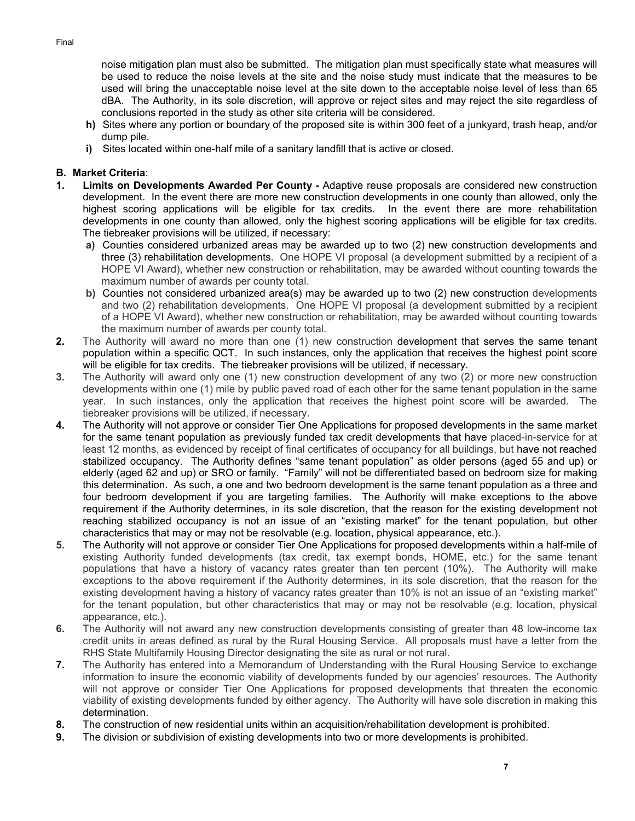noise mitigation plan must also be submitted. The mitigation plan must specifically state what measures will be used to reduce the noise levels at the site and the noise study must indicate that the measures to be used will bring the unacceptable noise level at the site down to the acceptable noise level of less than 65 dBA. The Authority, in its sole discretion, will approve or reject sites and may reject the site regardless of conclusions reported in the study as other site criteria will be considered.

- **h)** Sites where any portion or boundary of the proposed site is within 300 feet of a junkyard, trash heap, and/or dump pile.
- **i)** Sites located within one-half mile of a sanitary landfill that is active or closed.

## **B. Market Criteria**:

- **1. Limits on Developments Awarded Per County** Adaptive reuse proposals are considered new construction development. In the event there are more new construction developments in one county than allowed, only the highest scoring applications will be eligible for tax credits. In the event there are more rehabilitation developments in one county than allowed, only the highest scoring applications will be eligible for tax credits. The tiebreaker provisions will be utilized, if necessary:
	- **a)** Counties considered urbanized areas may be awarded up to two (2) new construction developments and three (3) rehabilitation developments. One HOPE VI proposal (a development submitted by a recipient of a HOPE VI Award), whether new construction or rehabilitation, may be awarded without counting towards the maximum number of awards per county total.
	- **b)** Counties not considered urbanized area(s) may be awarded up to two (2) new construction developments and two (2) rehabilitation developments. One HOPE VI proposal (a development submitted by a recipient of a HOPE VI Award), whether new construction or rehabilitation, may be awarded without counting towards the maximum number of awards per county total.
- **2.** The Authority will award no more than one (1) new construction development that serves the same tenant population within a specific QCT. In such instances, only the application that receives the highest point score will be eligible for tax credits. The tiebreaker provisions will be utilized, if necessary.
- **3.** The Authority will award only one (1) new construction development of any two (2) or more new construction developments within one (1) mile by public paved road of each other for the same tenant population in the same year. In such instances, only the application that receives the highest point score will be awarded. The tiebreaker provisions will be utilized, if necessary.
- **4.** The Authority will not approve or consider Tier One Applications for proposed developments in the same market for the same tenant population as previously funded tax credit developments that have placed-in-service for at least 12 months, as evidenced by receipt of final certificates of occupancy for all buildings, but have not reached stabilized occupancy. The Authority defines "same tenant population" as older persons (aged 55 and up) or elderly (aged 62 and up) or SRO or family. "Family" will not be differentiated based on bedroom size for making this determination. As such, a one and two bedroom development is the same tenant population as a three and four bedroom development if you are targeting families. The Authority will make exceptions to the above requirement if the Authority determines, in its sole discretion, that the reason for the existing development not reaching stabilized occupancy is not an issue of an "existing market" for the tenant population, but other characteristics that may or may not be resolvable (e.g. location, physical appearance, etc.).
- **5.** The Authority will not approve or consider Tier One Applications for proposed developments within a half-mile of existing Authority funded developments (tax credit, tax exempt bonds, HOME, etc.) for the same tenant populations that have a history of vacancy rates greater than ten percent (10%). The Authority will make exceptions to the above requirement if the Authority determines, in its sole discretion, that the reason for the existing development having a history of vacancy rates greater than 10% is not an issue of an "existing market" for the tenant population, but other characteristics that may or may not be resolvable (e.g. location, physical appearance, etc.).
- **6.** The Authority will not award any new construction developments consisting of greater than 48 low-income tax credit units in areas defined as rural by the Rural Housing Service. All proposals must have a letter from the RHS State Multifamily Housing Director designating the site as rural or not rural.
- **7.** The Authority has entered into a Memorandum of Understanding with the Rural Housing Service to exchange information to insure the economic viability of developments funded by our agencies' resources. The Authority will not approve or consider Tier One Applications for proposed developments that threaten the economic viability of existing developments funded by either agency. The Authority will have sole discretion in making this determination.
- **8.** The construction of new residential units within an acquisition/rehabilitation development is prohibited.
- **9.** The division or subdivision of existing developments into two or more developments is prohibited.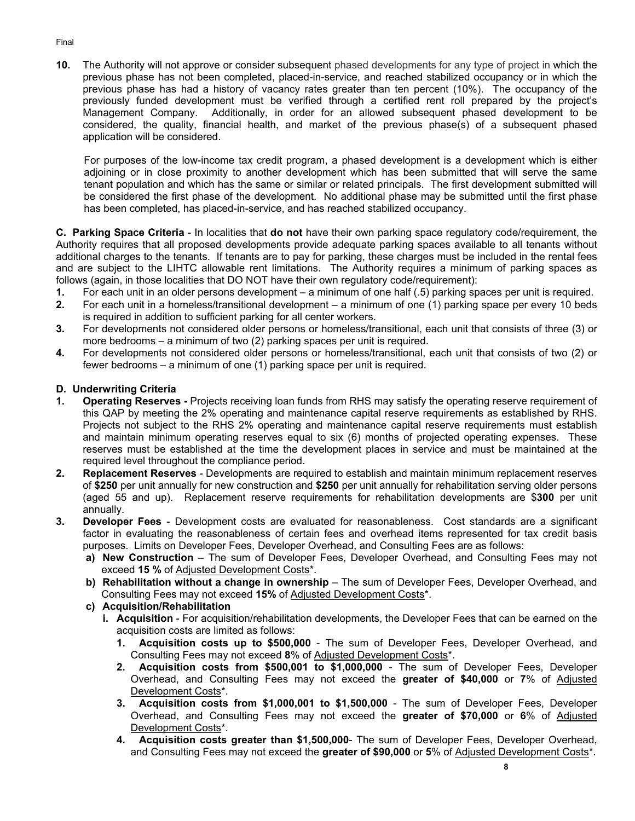**10.** The Authority will not approve or consider subsequent phased developments for any type of project in which the previous phase has not been completed, placed-in-service, and reached stabilized occupancy or in which the previous phase has had a history of vacancy rates greater than ten percent (10%). The occupancy of the previously funded development must be verified through a certified rent roll prepared by the project's Management Company. Additionally, in order for an allowed subsequent phased development to be considered, the quality, financial health, and market of the previous phase(s) of a subsequent phased application will be considered.

For purposes of the low-income tax credit program, a phased development is a development which is either adjoining or in close proximity to another development which has been submitted that will serve the same tenant population and which has the same or similar or related principals. The first development submitted will be considered the first phase of the development. No additional phase may be submitted until the first phase has been completed, has placed-in-service, and has reached stabilized occupancy.

**C. Parking Space Criteria** - In localities that **do not** have their own parking space regulatory code/requirement, the Authority requires that all proposed developments provide adequate parking spaces available to all tenants without additional charges to the tenants. If tenants are to pay for parking, these charges must be included in the rental fees and are subject to the LIHTC allowable rent limitations. The Authority requires a minimum of parking spaces as follows (again, in those localities that DO NOT have their own regulatory code/requirement):

- **1.** For each unit in an older persons development a minimum of one half (.5) parking spaces per unit is required.
- **2.** For each unit in a homeless/transitional development a minimum of one (1) parking space per every 10 beds is required in addition to sufficient parking for all center workers.
- **3.** For developments not considered older persons or homeless/transitional, each unit that consists of three (3) or more bedrooms – a minimum of two (2) parking spaces per unit is required.
- **4.** For developments not considered older persons or homeless/transitional, each unit that consists of two (2) or fewer bedrooms – a minimum of one (1) parking space per unit is required.

## **D. Underwriting Criteria**

- **1. Operating Reserves** Projects receiving loan funds from RHS may satisfy the operating reserve requirement of this QAP by meeting the 2% operating and maintenance capital reserve requirements as established by RHS. Projects not subject to the RHS 2% operating and maintenance capital reserve requirements must establish and maintain minimum operating reserves equal to six (6) months of projected operating expenses. These reserves must be established at the time the development places in service and must be maintained at the required level throughout the compliance period.
- **2. Replacement Reserves** Developments are required to establish and maintain minimum replacement reserves of **\$250** per unit annually for new construction and **\$250** per unit annually for rehabilitation serving older persons (aged 55 and up). Replacement reserve requirements for rehabilitation developments are \$**300** per unit annually.
- **3. Developer Fees**  Development costs are evaluated for reasonableness. Cost standards are a significant factor in evaluating the reasonableness of certain fees and overhead items represented for tax credit basis purposes. Limits on Developer Fees, Developer Overhead, and Consulting Fees are as follows:
	- **a) New Construction** The sum of Developer Fees, Developer Overhead, and Consulting Fees may not exceed **15 %** of Adjusted Development Costs\*.
	- **b) Rehabilitation without a change in ownership** The sum of Developer Fees, Developer Overhead, and Consulting Fees may not exceed **15%** of Adjusted Development Costs\*.
	- **c) Acquisition/Rehabilitation** 
		- **i. Acquisition** For acquisition/rehabilitation developments, the Developer Fees that can be earned on the acquisition costs are limited as follows:
			- **1. Acquisition costs up to \$500,000** The sum of Developer Fees, Developer Overhead, and Consulting Fees may not exceed **8**% of Adjusted Development Costs\*.
			- **2. Acquisition costs from \$500,001 to \$1,000,000** The sum of Developer Fees, Developer Overhead, and Consulting Fees may not exceed the **greater of \$40,000** or **7**% of Adjusted Development Costs\*.
			- **3. Acquisition costs from \$1,000,001 to \$1,500,000** The sum of Developer Fees, Developer Overhead, and Consulting Fees may not exceed the **greater of \$70,000** or **6**% of Adjusted Development Costs\*.
			- **4. Acquisition costs greater than \$1,500,000** The sum of Developer Fees, Developer Overhead, and Consulting Fees may not exceed the **greater of \$90,000** or **5**% of Adjusted Development Costs\*.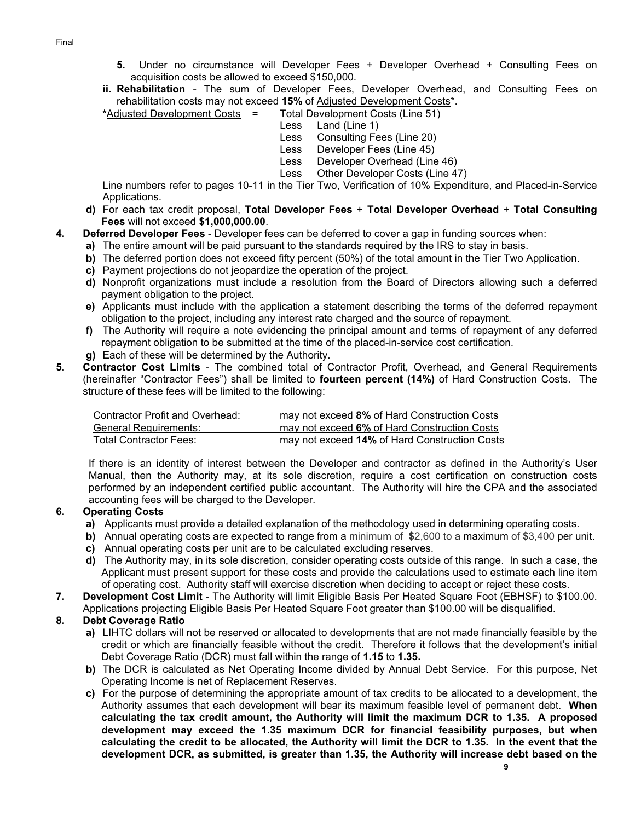- **5.** Under no circumstance will Developer Fees + Developer Overhead + Consulting Fees on acquisition costs be allowed to exceed \$150,000.
- **ii. Rehabilitation** The sum of Developer Fees, Developer Overhead, and Consulting Fees on rehabilitation costs may not exceed **15%** of Adjusted Development Costs\*.

**\***Adjusted Development Costs = Total Development Costs (Line 51)

- Less Land (Line 1)
- Less Consulting Fees (Line 20)
- Less Developer Fees (Line 45)
- Less Developer Overhead (Line 46)
- Less Other Developer Costs (Line 47)

Line numbers refer to pages 10-11 in the Tier Two, Verification of 10% Expenditure, and Placed-in-Service Applications.

- **d)** For each tax credit proposal, **Total Developer Fees** + **Total Developer Overhead** + **Total Consulting Fees** will not exceed **\$1,000,000.00**.
- **4. Deferred Developer Fees** Developer fees can be deferred to cover a gap in funding sources when:
	- **a)** The entire amount will be paid pursuant to the standards required by the IRS to stay in basis.
	- **b)** The deferred portion does not exceed fifty percent (50%) of the total amount in the Tier Two Application.
	- **c)** Payment projections do not jeopardize the operation of the project.
	- **d)** Nonprofit organizations must include a resolution from the Board of Directors allowing such a deferred payment obligation to the project.
	- **e)** Applicants must include with the application a statement describing the terms of the deferred repayment obligation to the project, including any interest rate charged and the source of repayment.
	- **f)** The Authority will require a note evidencing the principal amount and terms of repayment of any deferred repayment obligation to be submitted at the time of the placed-in-service cost certification.
	- **g)** Each of these will be determined by the Authority.
- **5. Contractor Cost Limits** The combined total of Contractor Profit, Overhead, and General Requirements (hereinafter "Contractor Fees") shall be limited to **fourteen percent (14%)** of Hard Construction Costs. The structure of these fees will be limited to the following:

| Contractor Profit and Overhead: | may not exceed 8% of Hard Construction Costs  |
|---------------------------------|-----------------------------------------------|
| General Requirements:           | may not exceed 6% of Hard Construction Costs  |
| <b>Total Contractor Fees:</b>   | may not exceed 14% of Hard Construction Costs |

If there is an identity of interest between the Developer and contractor as defined in the Authority's User Manual, then the Authority may, at its sole discretion, require a cost certification on construction costs performed by an independent certified public accountant. The Authority will hire the CPA and the associated accounting fees will be charged to the Developer.

## **6. Operating Costs**

- **a)** Applicants must provide a detailed explanation of the methodology used in determining operating costs.
- **b)** Annual operating costs are expected to range from a minimum of **\$**2,600 to a maximum of **\$**3,400 per unit.
- **c)** Annual operating costs per unit are to be calculated excluding reserves.
- **d)** The Authority may, in its sole discretion, consider operating costs outside of this range. In such a case, the Applicant must present support for these costs and provide the calculations used to estimate each line item of operating cost. Authority staff will exercise discretion when deciding to accept or reject these costs.
- **7. Development Cost Limit** The Authority will limit Eligible Basis Per Heated Square Foot (EBHSF) to \$100.00. Applications projecting Eligible Basis Per Heated Square Foot greater than \$100.00 will be disqualified.

## **8. Debt Coverage Ratio**

- **a)** LIHTC dollars will not be reserved or allocated to developments that are not made financially feasible by the credit or which are financially feasible without the credit. Therefore it follows that the development's initial Debt Coverage Ratio (DCR) must fall within the range of **1.15** to **1.35.**
- **b)** The DCR is calculated as Net Operating Income divided by Annual Debt Service. For this purpose, Net Operating Income is net of Replacement Reserves.
- **c)** For the purpose of determining the appropriate amount of tax credits to be allocated to a development, the Authority assumes that each development will bear its maximum feasible level of permanent debt. **When calculating the tax credit amount, the Authority will limit the maximum DCR to 1.35. A proposed development may exceed the 1.35 maximum DCR for financial feasibility purposes, but when calculating the credit to be allocated, the Authority will limit the DCR to 1.35. In the event that the development DCR, as submitted, is greater than 1.35, the Authority will increase debt based on the**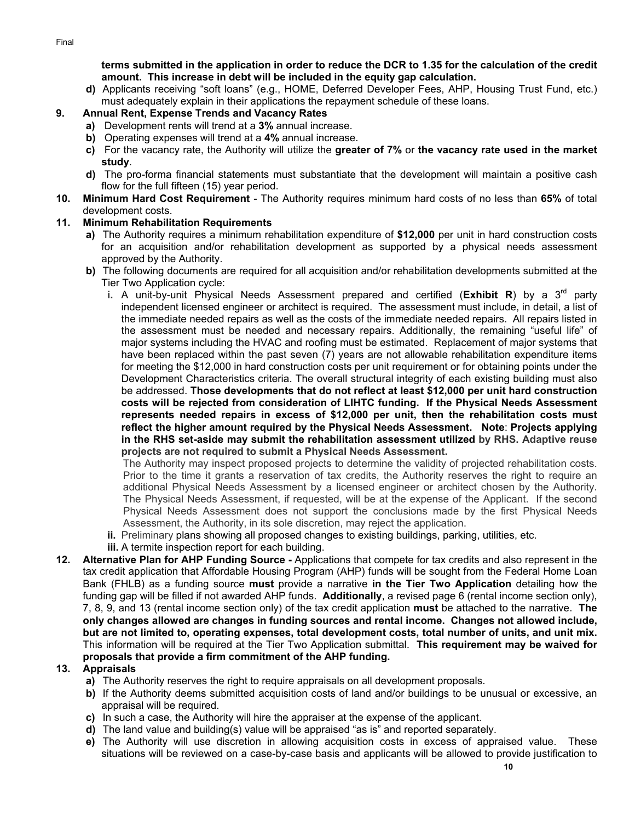**terms submitted in the application in order to reduce the DCR to 1.35 for the calculation of the credit amount. This increase in debt will be included in the equity gap calculation.** 

**d)** Applicants receiving "soft loans" (e.g., HOME, Deferred Developer Fees, AHP, Housing Trust Fund, etc.) must adequately explain in their applications the repayment schedule of these loans.

# **9. Annual Rent, Expense Trends and Vacancy Rates**

- **a)** Development rents will trend at a **3%** annual increase.
- **b)** Operating expenses will trend at a **4%** annual increase.
- **c)** For the vacancy rate, the Authority will utilize the **greater of 7%** or **the vacancy rate used in the market study**.
- **d)** The pro-forma financial statements must substantiate that the development will maintain a positive cash flow for the full fifteen (15) year period.
- **10. Minimum Hard Cost Requirement**  The Authority requires minimum hard costs of no less than **65%** of total development costs.

### **11. Minimum Rehabilitation Requirements**

- **a)** The Authority requires a minimum rehabilitation expenditure of **\$12,000** per unit in hard construction costs for an acquisition and/or rehabilitation development as supported by a physical needs assessment approved by the Authority.
- **b)** The following documents are required for all acquisition and/or rehabilitation developments submitted at the Tier Two Application cycle:
	- **i.** A unit-by-unit Physical Needs Assessment prepared and certified (**Exhibit R**) by a  $3^{rd}$  party independent licensed engineer or architect is required. The assessment must include, in detail, a list of the immediate needed repairs as well as the costs of the immediate needed repairs. All repairs listed in the assessment must be needed and necessary repairs. Additionally, the remaining "useful life" of major systems including the HVAC and roofing must be estimated. Replacement of major systems that have been replaced within the past seven (7) years are not allowable rehabilitation expenditure items for meeting the \$12,000 in hard construction costs per unit requirement or for obtaining points under the Development Characteristics criteria. The overall structural integrity of each existing building must also be addressed. **Those developments that do not reflect at least \$12,000 per unit hard construction costs will be rejected from consideration of LIHTC funding. If the Physical Needs Assessment represents needed repairs in excess of \$12,000 per unit, then the rehabilitation costs must reflect the higher amount required by the Physical Needs Assessment. Note**: **Projects applying in the RHS set-aside may submit the rehabilitation assessment utilized by RHS. Adaptive reuse projects are not required to submit a Physical Needs Assessment.**

The Authority may inspect proposed projects to determine the validity of projected rehabilitation costs. Prior to the time it grants a reservation of tax credits, the Authority reserves the right to require an additional Physical Needs Assessment by a licensed engineer or architect chosen by the Authority. The Physical Needs Assessment, if requested, will be at the expense of the Applicant. If the second Physical Needs Assessment does not support the conclusions made by the first Physical Needs Assessment, the Authority, in its sole discretion, may reject the application.

- **ii.** Preliminary plans showing all proposed changes to existing buildings, parking, utilities, etc.
- **iii.** A termite inspection report for each building.
- **12. Alternative Plan for AHP Funding Source** Applications that compete for tax credits and also represent in the tax credit application that Affordable Housing Program (AHP) funds will be sought from the Federal Home Loan Bank (FHLB) as a funding source **must** provide a narrative **in the Tier Two Application** detailing how the funding gap will be filled if not awarded AHP funds. **Additionally**, a revised page 6 (rental income section only), 7, 8, 9, and 13 (rental income section only) of the tax credit application **must** be attached to the narrative. **The only changes allowed are changes in funding sources and rental income. Changes not allowed include, but are not limited to, operating expenses, total development costs, total number of units, and unit mix.**  This information will be required at the Tier Two Application submittal. **This requirement may be waived for proposals that provide a firm commitment of the AHP funding.**

## **13. Appraisals**

- **a)** The Authority reserves the right to require appraisals on all development proposals.
- **b)** If the Authority deems submitted acquisition costs of land and/or buildings to be unusual or excessive, an appraisal will be required.
- **c)** In such a case, the Authority will hire the appraiser at the expense of the applicant.
- **d)** The land value and building(s) value will be appraised "as is" and reported separately.
- **e)** The Authority will use discretion in allowing acquisition costs in excess of appraised value. These situations will be reviewed on a case-by-case basis and applicants will be allowed to provide justification to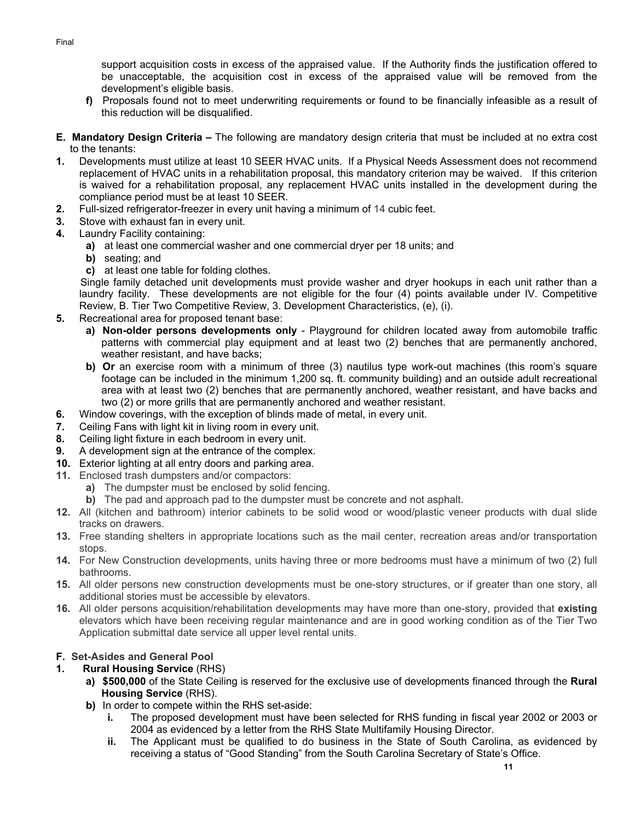support acquisition costs in excess of the appraised value. If the Authority finds the justification offered to be unacceptable, the acquisition cost in excess of the appraised value will be removed from the development's eligible basis.

- **f)** Proposals found not to meet underwriting requirements or found to be financially infeasible as a result of this reduction will be disqualified.
- **E. Mandatory Design Criteria** The following are mandatory design criteria that must be included at no extra cost to the tenants:
- **1.** Developments must utilize at least 10 SEER HVAC units. If a Physical Needs Assessment does not recommend replacement of HVAC units in a rehabilitation proposal, this mandatory criterion may be waived. If this criterion is waived for a rehabilitation proposal, any replacement HVAC units installed in the development during the compliance period must be at least 10 SEER.
- **2.** Full-sized refrigerator-freezer in every unit having a minimum of 14 cubic feet.
- **3.** Stove with exhaust fan in every unit.
- **4.** Laundry Facility containing:
	- **a)** at least one commercial washer and one commercial dryer per 18 units; and
	- **b)** seating; and
	- **c)** at least one table for folding clothes.

Single family detached unit developments must provide washer and dryer hookups in each unit rather than a laundry facility. These developments are not eligible for the four (4) points available under IV. Competitive Review, B. Tier Two Competitive Review, 3. Development Characteristics, (e), (i).

- **5.** Recreational area for proposed tenant base:
	- **a) Non-older persons developments only** Playground for children located away from automobile traffic patterns with commercial play equipment and at least two (2) benches that are permanently anchored, weather resistant, and have backs;
	- **b)** Or an exercise room with a minimum of three (3) nautilus type work-out machines (this room's square footage can be included in the minimum 1,200 sq. ft. community building) and an outside adult recreational area with at least two (2) benches that are permanently anchored, weather resistant, and have backs and two (2) or more grills that are permanently anchored and weather resistant.
- **6.** Window coverings, with the exception of blinds made of metal, in every unit.
- **7.** Ceiling Fans with light kit in living room in every unit.
- **8.** Ceiling light fixture in each bedroom in every unit.
- **9.** A development sign at the entrance of the complex.
- **10.** Exterior lighting at all entry doors and parking area.
- **11.** Enclosed trash dumpsters and/or compactors:
	- **a)** The dumpster must be enclosed by solid fencing.
	- **b)** The pad and approach pad to the dumpster must be concrete and not asphalt.
- **12.** All (kitchen and bathroom) interior cabinets to be solid wood or wood/plastic veneer products with dual slide tracks on drawers.
- **13.** Free standing shelters in appropriate locations such as the mail center, recreation areas and/or transportation stops.
- **14.** For New Construction developments, units having three or more bedrooms must have a minimum of two (2) full bathrooms.
- **15.** All older persons new construction developments must be one-story structures, or if greater than one story, all additional stories must be accessible by elevators.
- **16.** All older persons acquisition/rehabilitation developments may have more than one-story, provided that **existing** elevators which have been receiving regular maintenance and are in good working condition as of the Tier Two Application submittal date service all upper level rental units.

# **F. Set-Asides and General Pool**

- **1. Rural Housing Service** (RHS)
	- **a) \$500,000** of the State Ceiling is reserved for the exclusive use of developments financed through the **Rural Housing Service** (RHS).
	- **b)** In order to compete within the RHS set-aside:
		- **i.** The proposed development must have been selected for RHS funding in fiscal year 2002 or 2003 or 2004 as evidenced by a letter from the RHS State Multifamily Housing Director.
		- **ii.** The Applicant must be qualified to do business in the State of South Carolina, as evidenced by receiving a status of "Good Standing" from the South Carolina Secretary of State's Office.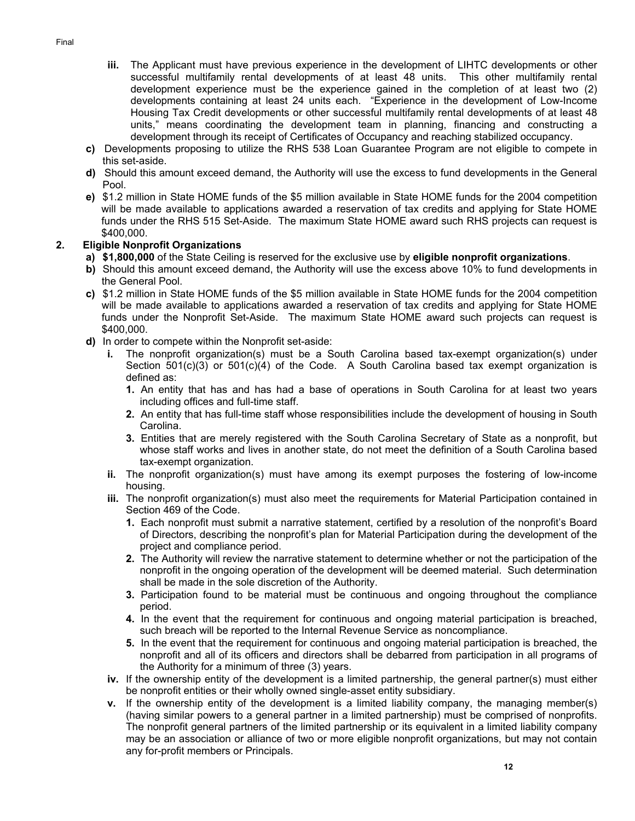- **iii.** The Applicant must have previous experience in the development of LIHTC developments or other successful multifamily rental developments of at least 48 units. This other multifamily rental development experience must be the experience gained in the completion of at least two (2) developments containing at least 24 units each. "Experience in the development of Low-Income Housing Tax Credit developments or other successful multifamily rental developments of at least 48 units," means coordinating the development team in planning, financing and constructing a development through its receipt of Certificates of Occupancy and reaching stabilized occupancy.
- **c)** Developments proposing to utilize the RHS 538 Loan Guarantee Program are not eligible to compete in this set-aside.
- **d)** Should this amount exceed demand, the Authority will use the excess to fund developments in the General Pool.
- **e)** \$1.2 million in State HOME funds of the \$5 million available in State HOME funds for the 2004 competition will be made available to applications awarded a reservation of tax credits and applying for State HOME funds under the RHS 515 Set-Aside. The maximum State HOME award such RHS projects can request is \$400,000.

## **2. Eligible Nonprofit Organizations**

- **a) \$1,800,000** of the State Ceiling is reserved for the exclusive use by **eligible nonprofit organizations**.
- **b)** Should this amount exceed demand, the Authority will use the excess above 10% to fund developments in the General Pool.
- **c)** \$1.2 million in State HOME funds of the \$5 million available in State HOME funds for the 2004 competition will be made available to applications awarded a reservation of tax credits and applying for State HOME funds under the Nonprofit Set-Aside. The maximum State HOME award such projects can request is \$400,000.
- **d)** In order to compete within the Nonprofit set-aside:
	- **i.** The nonprofit organization(s) must be a South Carolina based tax-exempt organization(s) under Section  $501(c)(3)$  or  $501(c)(4)$  of the Code. A South Carolina based tax exempt organization is defined as:
		- **1.** An entity that has and has had a base of operations in South Carolina for at least two years including offices and full-time staff.
		- **2.** An entity that has full-time staff whose responsibilities include the development of housing in South Carolina.
		- **3.** Entities that are merely registered with the South Carolina Secretary of State as a nonprofit, but whose staff works and lives in another state, do not meet the definition of a South Carolina based tax-exempt organization.
	- **ii.** The nonprofit organization(s) must have among its exempt purposes the fostering of low-income housing.
	- **iii.** The nonprofit organization(s) must also meet the requirements for Material Participation contained in Section 469 of the Code.
		- **1.** Each nonprofit must submit a narrative statement, certified by a resolution of the nonprofit's Board of Directors, describing the nonprofit's plan for Material Participation during the development of the project and compliance period.
		- **2.** The Authority will review the narrative statement to determine whether or not the participation of the nonprofit in the ongoing operation of the development will be deemed material. Such determination shall be made in the sole discretion of the Authority.
		- **3.** Participation found to be material must be continuous and ongoing throughout the compliance period.
		- **4.** In the event that the requirement for continuous and ongoing material participation is breached, such breach will be reported to the Internal Revenue Service as noncompliance.
		- **5.** In the event that the requirement for continuous and ongoing material participation is breached, the nonprofit and all of its officers and directors shall be debarred from participation in all programs of the Authority for a minimum of three (3) years.
	- **iv.** If the ownership entity of the development is a limited partnership, the general partner(s) must either be nonprofit entities or their wholly owned single-asset entity subsidiary.
	- **v.** If the ownership entity of the development is a limited liability company, the managing member(s) (having similar powers to a general partner in a limited partnership) must be comprised of nonprofits. The nonprofit general partners of the limited partnership or its equivalent in a limited liability company may be an association or alliance of two or more eligible nonprofit organizations, but may not contain any for-profit members or Principals.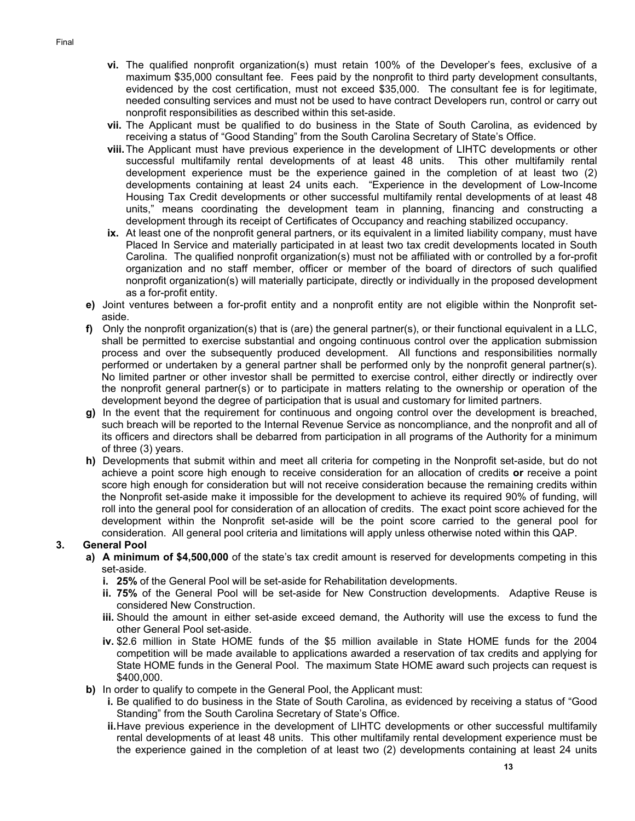- **vi.** The qualified nonprofit organization(s) must retain 100% of the Developer's fees, exclusive of a maximum \$35,000 consultant fee. Fees paid by the nonprofit to third party development consultants, evidenced by the cost certification, must not exceed \$35,000. The consultant fee is for legitimate, needed consulting services and must not be used to have contract Developers run, control or carry out nonprofit responsibilities as described within this set-aside.
- **vii.** The Applicant must be qualified to do business in the State of South Carolina, as evidenced by receiving a status of "Good Standing" from the South Carolina Secretary of State's Office.
- **viii.** The Applicant must have previous experience in the development of LIHTC developments or other successful multifamily rental developments of at least 48 units. This other multifamily rental development experience must be the experience gained in the completion of at least two (2) developments containing at least 24 units each. "Experience in the development of Low-Income Housing Tax Credit developments or other successful multifamily rental developments of at least 48 units," means coordinating the development team in planning, financing and constructing a development through its receipt of Certificates of Occupancy and reaching stabilized occupancy.
- **ix.** At least one of the nonprofit general partners, or its equivalent in a limited liability company, must have Placed In Service and materially participated in at least two tax credit developments located in South Carolina. The qualified nonprofit organization(s) must not be affiliated with or controlled by a for-profit organization and no staff member, officer or member of the board of directors of such qualified nonprofit organization(s) will materially participate, directly or individually in the proposed development as a for-profit entity.
- **e)** Joint ventures between a for-profit entity and a nonprofit entity are not eligible within the Nonprofit setaside.
- **f)** Only the nonprofit organization(s) that is (are) the general partner(s), or their functional equivalent in a LLC, shall be permitted to exercise substantial and ongoing continuous control over the application submission process and over the subsequently produced development. All functions and responsibilities normally performed or undertaken by a general partner shall be performed only by the nonprofit general partner(s). No limited partner or other investor shall be permitted to exercise control, either directly or indirectly over the nonprofit general partner(s) or to participate in matters relating to the ownership or operation of the development beyond the degree of participation that is usual and customary for limited partners.
- **g)** In the event that the requirement for continuous and ongoing control over the development is breached, such breach will be reported to the Internal Revenue Service as noncompliance, and the nonprofit and all of its officers and directors shall be debarred from participation in all programs of the Authority for a minimum of three (3) years.
- **h)** Developments that submit within and meet all criteria for competing in the Nonprofit set-aside, but do not achieve a point score high enough to receive consideration for an allocation of credits **or** receive a point score high enough for consideration but will not receive consideration because the remaining credits within the Nonprofit set-aside make it impossible for the development to achieve its required 90% of funding, will roll into the general pool for consideration of an allocation of credits. The exact point score achieved for the development within the Nonprofit set-aside will be the point score carried to the general pool for consideration. All general pool criteria and limitations will apply unless otherwise noted within this QAP.

## **3. General Pool**

- **a) A minimum of \$4,500,000** of the state's tax credit amount is reserved for developments competing in this set-aside.
	- **i. 25%** of the General Pool will be set-aside for Rehabilitation developments.
	- **ii. 75%** of the General Pool will be set-aside for New Construction developments. Adaptive Reuse is considered New Construction.
	- **iii.** Should the amount in either set-aside exceed demand, the Authority will use the excess to fund the other General Pool set-aside.
	- **iv.** \$2.6 million in State HOME funds of the \$5 million available in State HOME funds for the 2004 competition will be made available to applications awarded a reservation of tax credits and applying for State HOME funds in the General Pool. The maximum State HOME award such projects can request is \$400,000.
- **b)** In order to qualify to compete in the General Pool, the Applicant must:
	- **i.** Be qualified to do business in the State of South Carolina, as evidenced by receiving a status of "Good Standing" from the South Carolina Secretary of State's Office.
	- **ii.** Have previous experience in the development of LIHTC developments or other successful multifamily rental developments of at least 48 units. This other multifamily rental development experience must be the experience gained in the completion of at least two (2) developments containing at least 24 units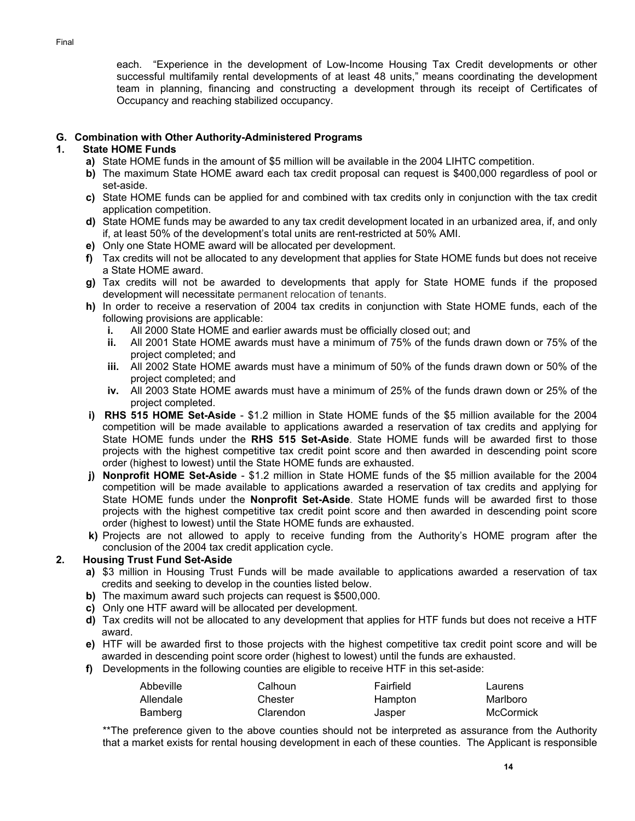each. "Experience in the development of Low-Income Housing Tax Credit developments or other successful multifamily rental developments of at least 48 units," means coordinating the development team in planning, financing and constructing a development through its receipt of Certificates of Occupancy and reaching stabilized occupancy.

### **G. Combination with Other Authority-Administered Programs**

### **1. State HOME Funds**

- **a)** State HOME funds in the amount of \$5 million will be available in the 2004 LIHTC competition.
- **b)** The maximum State HOME award each tax credit proposal can request is \$400,000 regardless of pool or set-aside.
- **c)** State HOME funds can be applied for and combined with tax credits only in conjunction with the tax credit application competition.
- **d)** State HOME funds may be awarded to any tax credit development located in an urbanized area, if, and only if, at least 50% of the development's total units are rent-restricted at 50% AMI.
- **e)** Only one State HOME award will be allocated per development.
- **f)** Tax credits will not be allocated to any development that applies for State HOME funds but does not receive a State HOME award.
- **g)** Tax credits will not be awarded to developments that apply for State HOME funds if the proposed development will necessitate permanent relocation of tenants.
- **h)** In order to receive a reservation of 2004 tax credits in conjunction with State HOME funds, each of the following provisions are applicable:
	- **i.** All 2000 State HOME and earlier awards must be officially closed out; and
	- **ii.** All 2001 State HOME awards must have a minimum of 75% of the funds drawn down or 75% of the project completed; and
	- **iii.** All 2002 State HOME awards must have a minimum of 50% of the funds drawn down or 50% of the project completed; and
	- **iv.** All 2003 State HOME awards must have a minimum of 25% of the funds drawn down or 25% of the project completed.
- **i) RHS 515 HOME Set-Aside** \$1.2 million in State HOME funds of the \$5 million available for the 2004 competition will be made available to applications awarded a reservation of tax credits and applying for State HOME funds under the **RHS 515 Set-Aside**. State HOME funds will be awarded first to those projects with the highest competitive tax credit point score and then awarded in descending point score order (highest to lowest) until the State HOME funds are exhausted.
- **j) Nonprofit HOME Set-Aside** \$1.2 million in State HOME funds of the \$5 million available for the 2004 competition will be made available to applications awarded a reservation of tax credits and applying for State HOME funds under the **Nonprofit Set-Aside**. State HOME funds will be awarded first to those projects with the highest competitive tax credit point score and then awarded in descending point score order (highest to lowest) until the State HOME funds are exhausted.
- **k)** Projects are not allowed to apply to receive funding from the Authority's HOME program after the conclusion of the 2004 tax credit application cycle.

## **2. Housing Trust Fund Set-Aside**

- **a)** \$3 million in Housing Trust Funds will be made available to applications awarded a reservation of tax credits and seeking to develop in the counties listed below.
- **b)** The maximum award such projects can request is \$500,000.
- **c)** Only one HTF award will be allocated per development.
- **d)** Tax credits will not be allocated to any development that applies for HTF funds but does not receive a HTF award.
- **e)** HTF will be awarded first to those projects with the highest competitive tax credit point score and will be awarded in descending point score order (highest to lowest) until the funds are exhausted.
- **f)** Developments in the following counties are eligible to receive HTF in this set-aside:

| Abbeville | Calhoun   | Fairfield | Laurens   |
|-----------|-----------|-----------|-----------|
| Allendale | Chester   | Hampton   | Marlboro  |
| Bamberg   | Clarendon | Jasper    | McCormick |

\*\*The preference given to the above counties should not be interpreted as assurance from the Authority that a market exists for rental housing development in each of these counties. The Applicant is responsible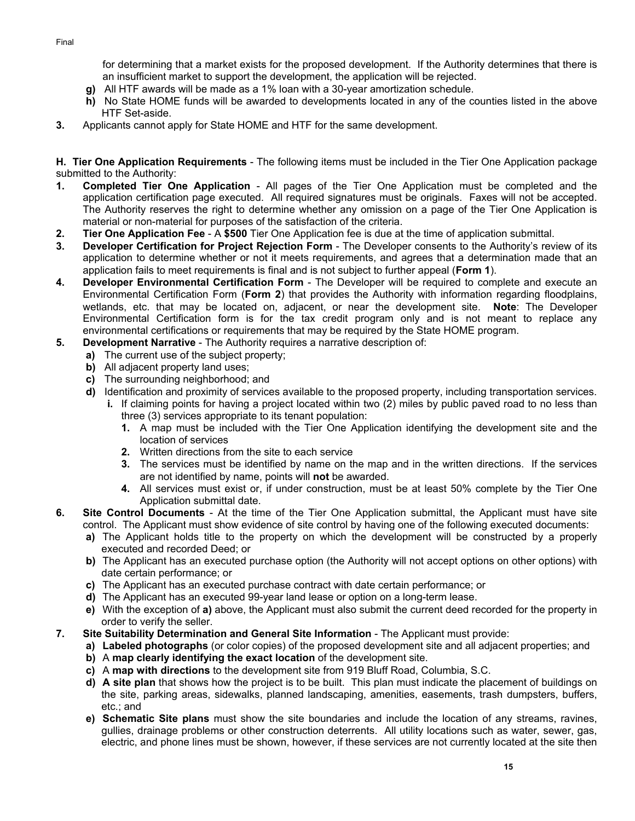for determining that a market exists for the proposed development. If the Authority determines that there is an insufficient market to support the development, the application will be rejected.

- **g)** All HTF awards will be made as a 1% loan with a 30-year amortization schedule.
- **h)** No State HOME funds will be awarded to developments located in any of the counties listed in the above HTF Set-aside.
- **3.** Applicants cannot apply for State HOME and HTF for the same development.

**H. Tier One Application Requirements** - The following items must be included in the Tier One Application package submitted to the Authority:

- **1. Completed Tier One Application** All pages of the Tier One Application must be completed and the application certification page executed. All required signatures must be originals. Faxes will not be accepted. The Authority reserves the right to determine whether any omission on a page of the Tier One Application is material or non-material for purposes of the satisfaction of the criteria.
- **2. Tier One Application Fee** A **\$500** Tier One Application fee is due at the time of application submittal.
- **3. Developer Certification for Project Rejection Form** The Developer consents to the Authority's review of its application to determine whether or not it meets requirements, and agrees that a determination made that an application fails to meet requirements is final and is not subject to further appeal (**Form 1**).
- **4. Developer Environmental Certification Form**  The Developer will be required to complete and execute an Environmental Certification Form (**Form 2**) that provides the Authority with information regarding floodplains, wetlands, etc. that may be located on, adjacent, or near the development site. **Note**: The Developer Environmental Certification form is for the tax credit program only and is not meant to replace any environmental certifications or requirements that may be required by the State HOME program.
- **5. Development Narrative** The Authority requires a narrative description of:
	- **a)** The current use of the subject property;
		- **b)** All adjacent property land uses;
		- **c)** The surrounding neighborhood; and
		- **d)** Identification and proximity of services available to the proposed property, including transportation services. **i.** If claiming points for having a project located within two (2) miles by public paved road to no less than
			- three (3) services appropriate to its tenant population: **1.** A map must be included with the Tier One Application identifying the development site and the location of services
			- **2.** Written directions from the site to each service
			- **3.** The services must be identified by name on the map and in the written directions. If the services are not identified by name, points will **not** be awarded.
			- **4.** All services must exist or, if under construction, must be at least 50% complete by the Tier One Application submittal date.
- **6. Site Control Documents** At the time of the Tier One Application submittal, the Applicant must have site control. The Applicant must show evidence of site control by having one of the following executed documents:
	- **a)** The Applicant holds title to the property on which the development will be constructed by a properly executed and recorded Deed; or
	- **b)** The Applicant has an executed purchase option (the Authority will not accept options on other options) with date certain performance; or
	- **c)** The Applicant has an executed purchase contract with date certain performance; or
	- **d)** The Applicant has an executed 99-year land lease or option on a long-term lease.
	- **e)** With the exception of **a)** above, the Applicant must also submit the current deed recorded for the property in order to verify the seller.
- **7. Site Suitability Determination and General Site Information** The Applicant must provide:
	- **a) Labeled photographs** (or color copies) of the proposed development site and all adjacent properties; and
	- **b)** A **map clearly identifying the exact location** of the development site.
	- **c)** A **map with directions** to the development site from 919 Bluff Road, Columbia, S.C.
	- **d) A site plan** that shows how the project is to be built. This plan must indicate the placement of buildings on the site, parking areas, sidewalks, planned landscaping, amenities, easements, trash dumpsters, buffers, etc.; and
	- **e) Schematic Site plans** must show the site boundaries and include the location of any streams, ravines, gullies, drainage problems or other construction deterrents. All utility locations such as water, sewer, gas, electric, and phone lines must be shown, however, if these services are not currently located at the site then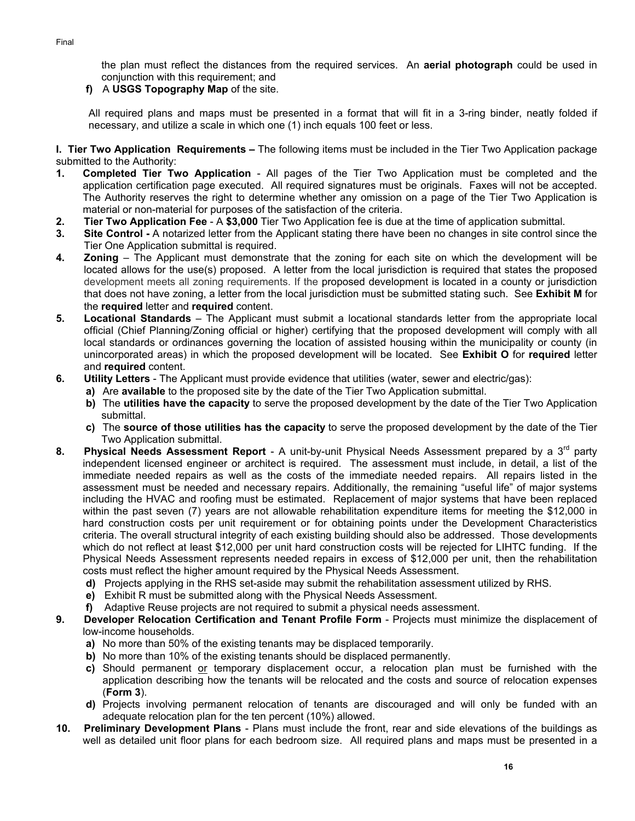the plan must reflect the distances from the required services. An **aerial photograph** could be used in conjunction with this requirement; and

**f)** A **USGS Topography Map** of the site.

All required plans and maps must be presented in a format that will fit in a 3-ring binder, neatly folded if necessary, and utilize a scale in which one (1) inch equals 100 feet or less.

**I. Tier Two Application Requirements –** The following items must be included in the Tier Two Application package submitted to the Authority:

- **1. Completed Tier Two Application** All pages of the Tier Two Application must be completed and the application certification page executed. All required signatures must be originals. Faxes will not be accepted. The Authority reserves the right to determine whether any omission on a page of the Tier Two Application is material or non-material for purposes of the satisfaction of the criteria.
- **2. Tier Two Application Fee** A **\$3,000** Tier Two Application fee is due at the time of application submittal.
- **3. Site Control -** A notarized letter from the Applicant stating there have been no changes in site control since the Tier One Application submittal is required.
- **4. Zoning**  The Applicant must demonstrate that the zoning for each site on which the development will be located allows for the use(s) proposed. A letter from the local jurisdiction is required that states the proposed development meets all zoning requirements. If the proposed development is located in a county or jurisdiction that does not have zoning, a letter from the local jurisdiction must be submitted stating such. See **Exhibit M** for the **required** letter and **required** content.
- **5. Locational Standards** The Applicant must submit a locational standards letter from the appropriate local official (Chief Planning/Zoning official or higher) certifying that the proposed development will comply with all local standards or ordinances governing the location of assisted housing within the municipality or county (in unincorporated areas) in which the proposed development will be located. See **Exhibit O** for **required** letter and **required** content.
- **6. Utility Letters** The Applicant must provide evidence that utilities (water, sewer and electric/gas):
	- **a)** Are **available** to the proposed site by the date of the Tier Two Application submittal.
	- **b)** The **utilities have the capacity** to serve the proposed development by the date of the Tier Two Application submittal.
	- **c)** The **source of those utilities has the capacity** to serve the proposed development by the date of the Tier Two Application submittal.
- **8. Physical Needs Assessment Report** A unit-by-unit Physical Needs Assessment prepared by a 3rd party independent licensed engineer or architect is required. The assessment must include, in detail, a list of the immediate needed repairs as well as the costs of the immediate needed repairs. All repairs listed in the assessment must be needed and necessary repairs. Additionally, the remaining "useful life" of major systems including the HVAC and roofing must be estimated. Replacement of major systems that have been replaced within the past seven (7) years are not allowable rehabilitation expenditure items for meeting the \$12,000 in hard construction costs per unit requirement or for obtaining points under the Development Characteristics criteria. The overall structural integrity of each existing building should also be addressed. Those developments which do not reflect at least \$12,000 per unit hard construction costs will be rejected for LIHTC funding. If the Physical Needs Assessment represents needed repairs in excess of \$12,000 per unit, then the rehabilitation costs must reflect the higher amount required by the Physical Needs Assessment.
	- **d)** Projects applying in the RHS set-aside may submit the rehabilitation assessment utilized by RHS.
	- **e)** Exhibit R must be submitted along with the Physical Needs Assessment.
	- **f)** Adaptive Reuse projects are not required to submit a physical needs assessment.
- **9. Developer Relocation Certification and Tenant Profile Form** Projects must minimize the displacement of low-income households.
	- **a)** No more than 50% of the existing tenants may be displaced temporarily.
	- **b)** No more than 10% of the existing tenants should be displaced permanently.
	- **c)** Should permanent or temporary displacement occur, a relocation plan must be furnished with the application describing how the tenants will be relocated and the costs and source of relocation expenses (**Form 3**).
	- **d)** Projects involving permanent relocation of tenants are discouraged and will only be funded with an adequate relocation plan for the ten percent (10%) allowed.
- **10. Preliminary Development Plans** Plans must include the front, rear and side elevations of the buildings as well as detailed unit floor plans for each bedroom size. All required plans and maps must be presented in a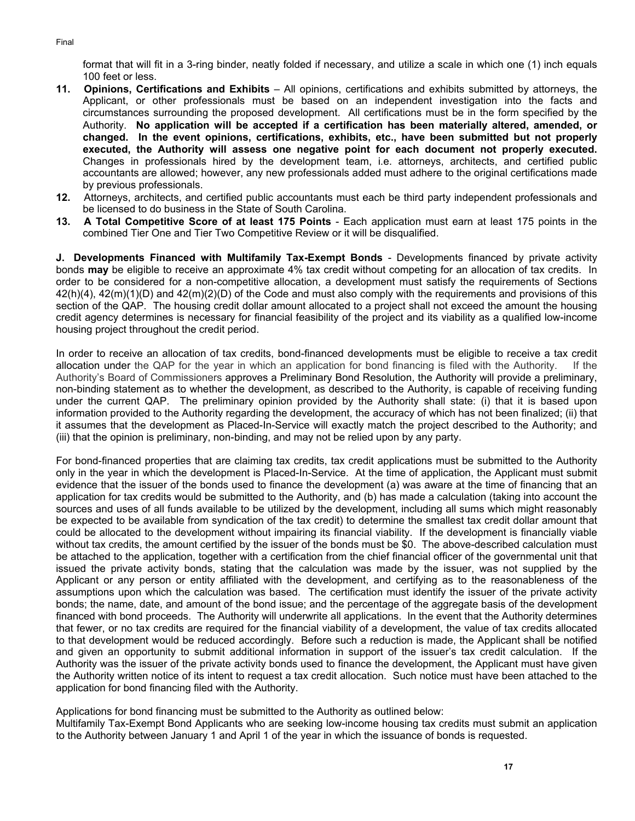format that will fit in a 3-ring binder, neatly folded if necessary, and utilize a scale in which one (1) inch equals 100 feet or less.

- **11. Opinions, Certifications and Exhibits** All opinions, certifications and exhibits submitted by attorneys, the Applicant, or other professionals must be based on an independent investigation into the facts and circumstances surrounding the proposed development. All certifications must be in the form specified by the Authority. **No application will be accepted if a certification has been materially altered, amended, or changed. In the event opinions, certifications, exhibits, etc., have been submitted but not properly executed, the Authority will assess one negative point for each document not properly executed.**  Changes in professionals hired by the development team, i.e. attorneys, architects, and certified public accountants are allowed; however, any new professionals added must adhere to the original certifications made by previous professionals.
- **12.** Attorneys, architects, and certified public accountants must each be third party independent professionals and be licensed to do business in the State of South Carolina.
- **13. A Total Competitive Score of at least 175 Points** Each application must earn at least 175 points in the combined Tier One and Tier Two Competitive Review or it will be disqualified.

**J. Developments Financed with Multifamily Tax-Exempt Bonds** - Developments financed by private activity bonds **may** be eligible to receive an approximate 4% tax credit without competing for an allocation of tax credits. In order to be considered for a non-competitive allocation, a development must satisfy the requirements of Sections 42(h)(4), 42(m)(1)(D) and 42(m)(2)(D) of the Code and must also comply with the requirements and provisions of this section of the QAP. The housing credit dollar amount allocated to a project shall not exceed the amount the housing credit agency determines is necessary for financial feasibility of the project and its viability as a qualified low-income housing project throughout the credit period.

In order to receive an allocation of tax credits, bond-financed developments must be eligible to receive a tax credit allocation under the QAP for the year in which an application for bond financing is filed with the Authority. If the Authority's Board of Commissioners approves a Preliminary Bond Resolution, the Authority will provide a preliminary, non-binding statement as to whether the development, as described to the Authority, is capable of receiving funding under the current QAP. The preliminary opinion provided by the Authority shall state: (i) that it is based upon information provided to the Authority regarding the development, the accuracy of which has not been finalized; (ii) that it assumes that the development as Placed-In-Service will exactly match the project described to the Authority; and (iii) that the opinion is preliminary, non-binding, and may not be relied upon by any party.

For bond-financed properties that are claiming tax credits, tax credit applications must be submitted to the Authority only in the year in which the development is Placed-In-Service. At the time of application, the Applicant must submit evidence that the issuer of the bonds used to finance the development (a) was aware at the time of financing that an application for tax credits would be submitted to the Authority, and (b) has made a calculation (taking into account the sources and uses of all funds available to be utilized by the development, including all sums which might reasonably be expected to be available from syndication of the tax credit) to determine the smallest tax credit dollar amount that could be allocated to the development without impairing its financial viability. If the development is financially viable without tax credits, the amount certified by the issuer of the bonds must be \$0. The above-described calculation must be attached to the application, together with a certification from the chief financial officer of the governmental unit that issued the private activity bonds, stating that the calculation was made by the issuer, was not supplied by the Applicant or any person or entity affiliated with the development, and certifying as to the reasonableness of the assumptions upon which the calculation was based. The certification must identify the issuer of the private activity bonds; the name, date, and amount of the bond issue; and the percentage of the aggregate basis of the development financed with bond proceeds. The Authority will underwrite all applications. In the event that the Authority determines that fewer, or no tax credits are required for the financial viability of a development, the value of tax credits allocated to that development would be reduced accordingly. Before such a reduction is made, the Applicant shall be notified and given an opportunity to submit additional information in support of the issuer's tax credit calculation. If the Authority was the issuer of the private activity bonds used to finance the development, the Applicant must have given the Authority written notice of its intent to request a tax credit allocation. Such notice must have been attached to the application for bond financing filed with the Authority.

Applications for bond financing must be submitted to the Authority as outlined below:

Multifamily Tax-Exempt Bond Applicants who are seeking low-income housing tax credits must submit an application to the Authority between January 1 and April 1 of the year in which the issuance of bonds is requested.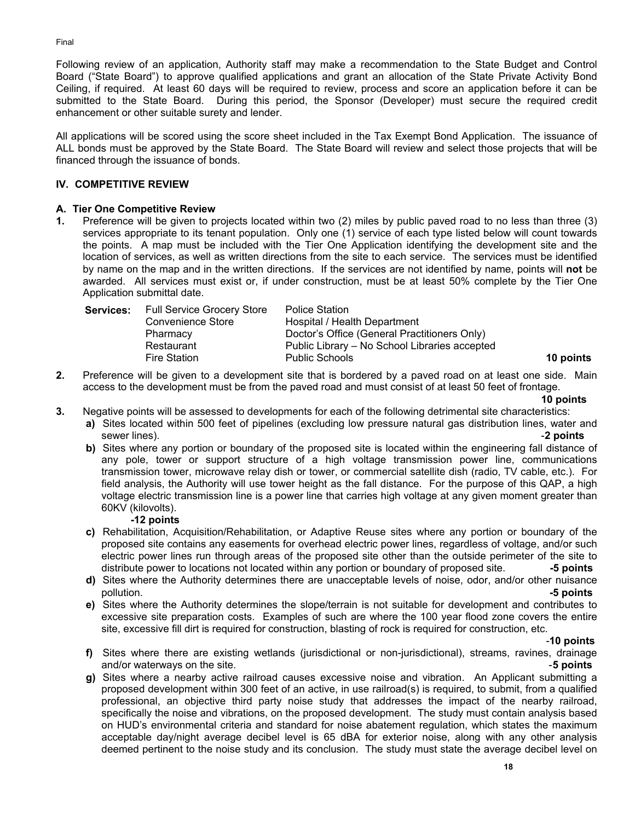Following review of an application, Authority staff may make a recommendation to the State Budget and Control Board ("State Board") to approve qualified applications and grant an allocation of the State Private Activity Bond Ceiling, if required. At least 60 days will be required to review, process and score an application before it can be submitted to the State Board. During this period, the Sponsor (Developer) must secure the required credit enhancement or other suitable surety and lender.

All applications will be scored using the score sheet included in the Tax Exempt Bond Application. The issuance of ALL bonds must be approved by the State Board. The State Board will review and select those projects that will be financed through the issuance of bonds.

## **IV. COMPETITIVE REVIEW**

## **A. Tier One Competitive Review**

**1.** Preference will be given to projects located within two (2) miles by public paved road to no less than three (3) services appropriate to its tenant population. Only one (1) service of each type listed below will count towards the points. A map must be included with the Tier One Application identifying the development site and the location of services, as well as written directions from the site to each service. The services must be identified by name on the map and in the written directions. If the services are not identified by name, points will **not** be awarded. All services must exist or, if under construction, must be at least 50% complete by the Tier One Application submittal date.

| <b>Services:</b> | <b>Full Service Grocery Store</b> | Police Station                                |           |
|------------------|-----------------------------------|-----------------------------------------------|-----------|
|                  | Convenience Store                 | Hospital / Health Department                  |           |
|                  | Pharmacy                          | Doctor's Office (General Practitioners Only)  |           |
|                  | Restaurant                        | Public Library – No School Libraries accepted |           |
|                  | Fire Station                      | <b>Public Schools</b>                         | 10 points |

**2.** Preference will be given to a development site that is bordered by a paved road on at least one side. Main access to the development must be from the paved road and must consist of at least 50 feet of frontage.

**10 points**

- **3.** Negative points will be assessed to developments for each of the following detrimental site characteristics:
	- **a)** Sites located within 500 feet of pipelines (excluding low pressure natural gas distribution lines, water and sewer lines). -**2 points**
		- **b)** Sites where any portion or boundary of the proposed site is located within the engineering fall distance of any pole, tower or support structure of a high voltage transmission power line, communications transmission tower, microwave relay dish or tower, or commercial satellite dish (radio, TV cable, etc.). For field analysis, the Authority will use tower height as the fall distance. For the purpose of this QAP, a high voltage electric transmission line is a power line that carries high voltage at any given moment greater than 60KV (kilovolts).

## **-12 points**

- **c)** Rehabilitation, Acquisition/Rehabilitation, or Adaptive Reuse sites where any portion or boundary of the proposed site contains any easements for overhead electric power lines, regardless of voltage, and/or such electric power lines run through areas of the proposed site other than the outside perimeter of the site to distribute power to locations not located within any portion or boundary of proposed site. **-5 points**
- **d)** Sites where the Authority determines there are unacceptable levels of noise, odor, and/or other nuisance pollution. **-5 points**
- **e)** Sites where the Authority determines the slope/terrain is not suitable for development and contributes to excessive site preparation costs. Examples of such are where the 100 year flood zone covers the entire site, excessive fill dirt is required for construction, blasting of rock is required for construction, etc.

-**10 points**

- **f)** Sites where there are existing wetlands (jurisdictional or non-jurisdictional), streams, ravines, drainage and/or waterways on the site. -**5 points**
- **g)** Sites where a nearby active railroad causes excessive noise and vibration. An Applicant submitting a proposed development within 300 feet of an active, in use railroad(s) is required, to submit, from a qualified professional, an objective third party noise study that addresses the impact of the nearby railroad, specifically the noise and vibrations, on the proposed development. The study must contain analysis based on HUD's environmental criteria and standard for noise abatement regulation, which states the maximum acceptable day/night average decibel level is 65 dBA for exterior noise, along with any other analysis deemed pertinent to the noise study and its conclusion. The study must state the average decibel level on

Final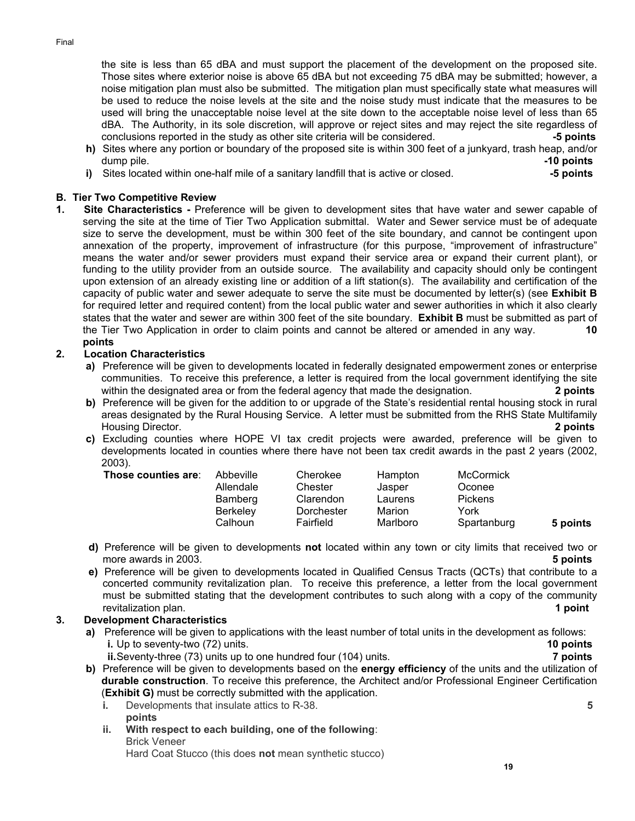the site is less than 65 dBA and must support the placement of the development on the proposed site. Those sites where exterior noise is above 65 dBA but not exceeding 75 dBA may be submitted; however, a noise mitigation plan must also be submitted. The mitigation plan must specifically state what measures will be used to reduce the noise levels at the site and the noise study must indicate that the measures to be used will bring the unacceptable noise level at the site down to the acceptable noise level of less than 65 dBA. The Authority, in its sole discretion, will approve or reject sites and may reject the site regardless of conclusions reported in the study as other site criteria will be considered. **-5 points**

- **h)** Sites where any portion or boundary of the proposed site is within 300 feet of a junkyard, trash heap, and/or dump pile. **-10 points**
- **i)** Sites located within one-half mile of a sanitary landfill that is active or closed. **-5 points**

## **B. Tier Two Competitive Review**

**1. Site Characteristics -** Preference will be given to development sites that have water and sewer capable of serving the site at the time of Tier Two Application submittal. Water and Sewer service must be of adequate size to serve the development, must be within 300 feet of the site boundary, and cannot be contingent upon annexation of the property, improvement of infrastructure (for this purpose, "improvement of infrastructure" means the water and/or sewer providers must expand their service area or expand their current plant), or funding to the utility provider from an outside source. The availability and capacity should only be contingent upon extension of an already existing line or addition of a lift station(s). The availability and certification of the capacity of public water and sewer adequate to serve the site must be documented by letter(s) (see **Exhibit B** for required letter and required content) from the local public water and sewer authorities in which it also clearly states that the water and sewer are within 300 feet of the site boundary. **Exhibit B** must be submitted as part of the Tier Two Application in order to claim points and cannot be altered or amended in any way. **10 points**

### **2. Location Characteristics**

- **a)** Preference will be given to developments located in federally designated empowerment zones or enterprise communities. To receive this preference, a letter is required from the local government identifying the site within the designated area or from the federal agency that made the designation. **2 points**
- **b)** Preference will be given for the addition to or upgrade of the State's residential rental housing stock in rural areas designated by the Rural Housing Service. A letter must be submitted from the RHS State Multifamily Housing Director. **2 points**
- **c)** Excluding counties where HOPE VI tax credit projects were awarded, preference will be given to developments located in counties where there have not been tax credit awards in the past 2 years (2002, 2003).

| Those counties are: | Abbeville<br>Allendale<br>Bamberg<br><b>Berkeley</b><br>Calhoun | Cherokee<br>Chester<br>Clarendon<br>Dorchester<br>Fairfield | Hampton<br>Jasper<br>Laurens<br>Marion<br>Marlboro | <b>McCormick</b><br>Oconee<br>Pickens<br>York<br>Spartanburg | 5 points |
|---------------------|-----------------------------------------------------------------|-------------------------------------------------------------|----------------------------------------------------|--------------------------------------------------------------|----------|
|                     |                                                                 |                                                             |                                                    |                                                              |          |

- **d)** Preference will be given to developments **not** located within any town or city limits that received two or more awards in 2003. **5 points**
- **e)** Preference will be given to developments located in Qualified Census Tracts (QCTs) that contribute to a concerted community revitalization plan. To receive this preference, a letter from the local government must be submitted stating that the development contributes to such along with a copy of the community revitalization plan. **1 point**

### **3. Development Characteristics**

- **a)** Preference will be given to applications with the least number of total units in the development as follows: **i.** Up to seventy-two (72) units. **10 points** 
	- **ii.** Seventy-three (73) units up to one hundred four (104) units. **7 points**
- **b)** Preference will be given to developments based on the **energy efficiency** of the units and the utilization of **durable construction**. To receive this preference, the Architect and/or Professional Engineer Certification (**Exhibit G)** must be correctly submitted with the application.
	- **i.** Developments that insulate attics to R-38. **5 points**
	- **ii. With respect to each building, one of the following**: Brick Veneer Hard Coat Stucco (this does **not** mean synthetic stucco)

**19**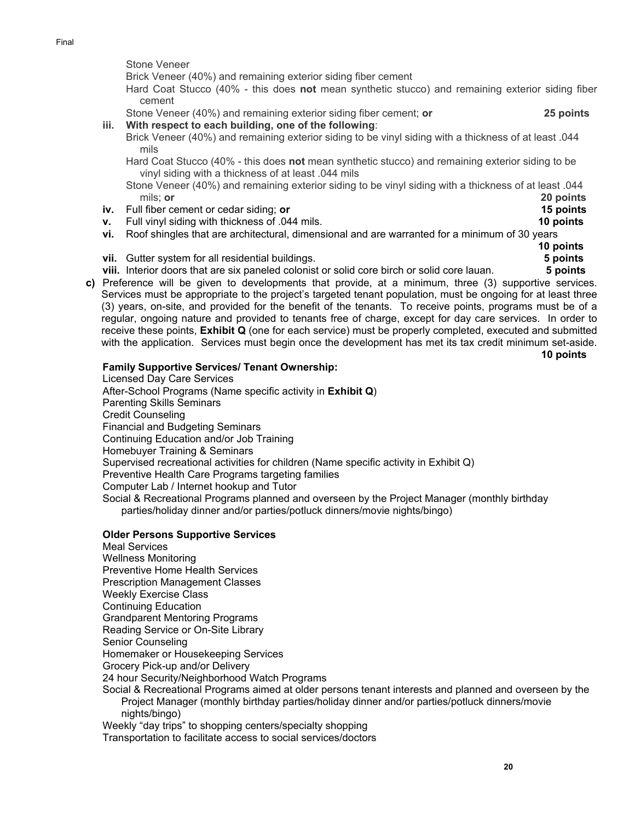Final

Stone Veneer

Brick Veneer (40%) and remaining exterior siding fiber cement

Hard Coat Stucco (40% - this does **not** mean synthetic stucco) and remaining exterior siding fiber cement

Stone Veneer (40%) and remaining exterior siding fiber cement; **or 25 points** 

- **iii. With respect to each building, one of the following**:
	- Brick Veneer (40%) and remaining exterior siding to be vinyl siding with a thickness of at least .044 mils

Hard Coat Stucco (40% - this does **not** mean synthetic stucco) and remaining exterior siding to be vinyl siding with a thickness of at least .044 mils

- Stone Veneer (40%) and remaining exterior siding to be vinyl siding with a thickness of at least .044 mils; **or 20 points**
- **iv.** Full fiber cement or cedar siding; **or 15 points**
- **v.** Full vinyl siding with thickness of .044 mils. **10 points**
- **vi.** Roof shingles that are architectural, dimensional and are warranted for a minimum of 30 years
- **vii.** Gutter system for all residential buildings. **5 points**
- **viii.** Interior doors that are six paneled colonist or solid core birch or solid core lauan. **5 points**
- **c)** Preference will be given to developments that provide, at a minimum, three (3) supportive services. Services must be appropriate to the project's targeted tenant population, must be ongoing for at least three (3) years, on-site, and provided for the benefit of the tenants. To receive points, programs must be of a regular, ongoing nature and provided to tenants free of charge, except for day care services. In order to receive these points, **Exhibit Q** (one for each service) must be properly completed, executed and submitted with the application. Services must begin once the development has met its tax credit minimum set-aside.

**10 points**

### **Family Supportive Services/ Tenant Ownership:**

Licensed Day Care Services After-School Programs (Name specific activity in **Exhibit Q**) Parenting Skills Seminars Credit Counseling Financial and Budgeting Seminars Continuing Education and/or Job Training Homebuyer Training & Seminars Supervised recreational activities for children (Name specific activity in Exhibit Q) Preventive Health Care Programs targeting families Computer Lab / Internet hookup and Tutor Social & Recreational Programs planned and overseen by the Project Manager (monthly birthday parties/holiday dinner and/or parties/potluck dinners/movie nights/bingo)

### **Older Persons Supportive Services**

- Meal Services Wellness Monitoring Preventive Home Health Services Prescription Management Classes Weekly Exercise Class Continuing Education Grandparent Mentoring Programs Reading Service or On-Site Library Senior Counseling Homemaker or Housekeeping Services Grocery Pick-up and/or Delivery 24 hour Security/Neighborhood Watch Programs Social & Recreational Programs aimed at older persons tenant interests and planned and overseen by the
- Project Manager (monthly birthday parties/holiday dinner and/or parties/potluck dinners/movie nights/bingo)

Weekly "day trips" to shopping centers/specialty shopping

Transportation to facilitate access to social services/doctors

**10 points**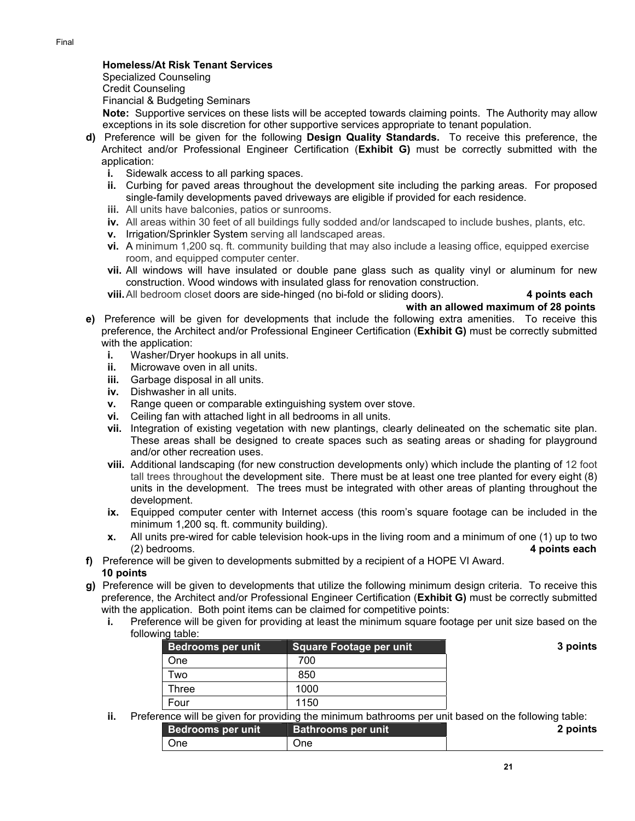### **Homeless/At Risk Tenant Services**

Specialized Counseling Credit Counseling

Financial & Budgeting Seminars

**Note:** Supportive services on these lists will be accepted towards claiming points. The Authority may allow exceptions in its sole discretion for other supportive services appropriate to tenant population.

- **d)** Preference will be given for the following **Design Quality Standards.** To receive this preference, the Architect and/or Professional Engineer Certification (**Exhibit G)** must be correctly submitted with the application:
	- **i.** Sidewalk access to all parking spaces.
	- **ii.** Curbing for paved areas throughout the development site including the parking areas. For proposed single-family developments paved driveways are eligible if provided for each residence.
	- **iii.** All units have balconies, patios or sunrooms.
	- **iv.** All areas within 30 feet of all buildings fully sodded and/or landscaped to include bushes, plants, etc.
	- **v.** Irrigation/Sprinkler System serving all landscaped areas.
	- **vi.** A minimum 1,200 sq. ft. community building that may also include a leasing office, equipped exercise room, and equipped computer center.
	- **vii.** All windows will have insulated or double pane glass such as quality vinyl or aluminum for new construction. Wood windows with insulated glass for renovation construction.

**viii.** All bedroom closet doors are side-hinged (no bi-fold or sliding doors). **4 points each**

 **with an allowed maximum of 28 points**

- **e)** Preference will be given for developments that include the following extra amenities. To receive this preference, the Architect and/or Professional Engineer Certification (**Exhibit G)** must be correctly submitted with the application:
	- **i.** Washer/Dryer hookups in all units.
	- **ii.** Microwave oven in all units.
	- **iii.** Garbage disposal in all units.
	- **iv.** Dishwasher in all units.
	- **v.** Range queen or comparable extinguishing system over stove.
	- **vi.** Ceiling fan with attached light in all bedrooms in all units.
	- **vii.** Integration of existing vegetation with new plantings, clearly delineated on the schematic site plan. These areas shall be designed to create spaces such as seating areas or shading for playground and/or other recreation uses.
	- **viii.** Additional landscaping (for new construction developments only) which include the planting of 12 foot tall trees throughout the development site. There must be at least one tree planted for every eight (8) units in the development. The trees must be integrated with other areas of planting throughout the development.
	- **ix.** Equipped computer center with Internet access (this room's square footage can be included in the minimum 1,200 sq. ft. community building).
	- **x.** All units pre-wired for cable television hook-ups in the living room and a minimum of one (1) up to two (2) bedrooms. **4 points each**
- **f)** Preference will be given to developments submitted by a recipient of a HOPE VI Award. **10 points**
- **g)** Preference will be given to developments that utilize the following minimum design criteria. To receive this preference, the Architect and/or Professional Engineer Certification (**Exhibit G)** must be correctly submitted with the application. Both point items can be claimed for competitive points:
	- **i.** Preference will be given for providing at least the minimum square footage per unit size based on the following table:

| Bedrooms per unit | Square Footage per unit |
|-------------------|-------------------------|
| One               | 700                     |
| Two               | 850                     |
| Three             | 1000                    |
| Four              | 1150                    |

**ii.** Preference will be given for providing the minimum bathrooms per unit based on the following table:

| <b>Bedrooms per unit</b> | <b>Bathrooms per unit</b> | 2 points |
|--------------------------|---------------------------|----------|
| One                      | One                       |          |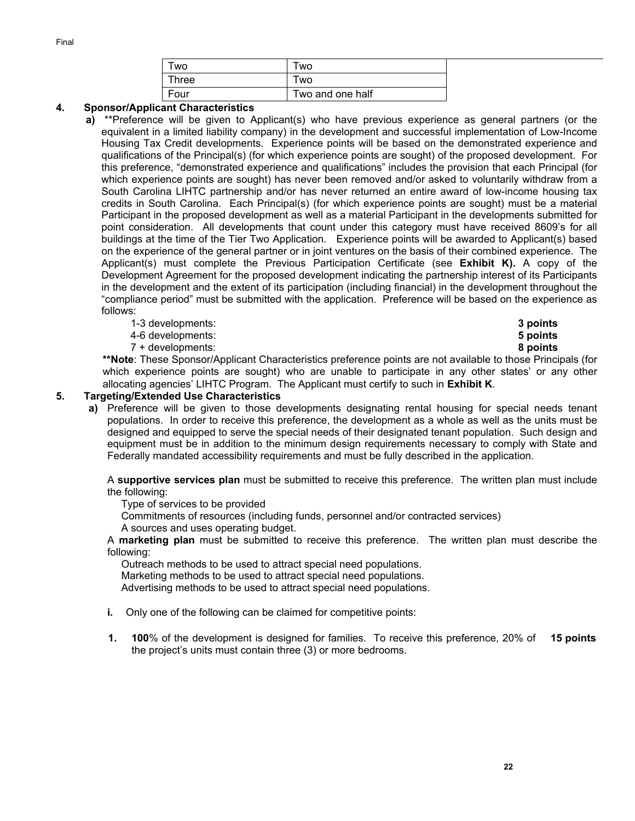| ™vo   | <b>WO</b>        |
|-------|------------------|
| Three | <b>WO</b>        |
| Four  | Two and one half |

### **4. Sponsor/Applicant Characteristics**

- **a)** \*\*Preference will be given to Applicant(s) who have previous experience as general partners (or the equivalent in a limited liability company) in the development and successful implementation of Low-Income Housing Tax Credit developments. Experience points will be based on the demonstrated experience and qualifications of the Principal(s) (for which experience points are sought) of the proposed development. For this preference, "demonstrated experience and qualifications" includes the provision that each Principal (for which experience points are sought) has never been removed and/or asked to voluntarily withdraw from a South Carolina LIHTC partnership and/or has never returned an entire award of low-income housing tax credits in South Carolina. Each Principal(s) (for which experience points are sought) must be a material Participant in the proposed development as well as a material Participant in the developments submitted for point consideration. All developments that count under this category must have received 8609's for all buildings at the time of the Tier Two Application. Experience points will be awarded to Applicant(s) based on the experience of the general partner or in joint ventures on the basis of their combined experience. The Applicant(s) must complete the Previous Participation Certificate (see **Exhibit K).** A copy of the Development Agreement for the proposed development indicating the partnership interest of its Participants in the development and the extent of its participation (including financial) in the development throughout the "compliance period" must be submitted with the application. Preference will be based on the experience as follows:
	- 1-3 developments: **3 points**
	- 4-6 developments: **5 points**
	- 7 + developments: **8 points**

 **\*\*Note**: These Sponsor/Applicant Characteristics preference points are not available to those Principals (for which experience points are sought) who are unable to participate in any other states' or any other allocating agencies' LIHTC Program. The Applicant must certify to such in **Exhibit K**.

### **5. Targeting/Extended Use Characteristics**

**a)** Preference will be given to those developments designating rental housing for special needs tenant populations. In order to receive this preference, the development as a whole as well as the units must be designed and equipped to serve the special needs of their designated tenant population. Such design and equipment must be in addition to the minimum design requirements necessary to comply with State and Federally mandated accessibility requirements and must be fully described in the application.

A **supportive services plan** must be submitted to receive this preference. The written plan must include the following:

Type of services to be provided

Commitments of resources (including funds, personnel and/or contracted services) A sources and uses operating budget.

A **marketing plan** must be submitted to receive this preference. The written plan must describe the following:

Outreach methods to be used to attract special need populations.

Marketing methods to be used to attract special need populations.

Advertising methods to be used to attract special need populations.

- **i.** Only one of the following can be claimed for competitive points:
- **1. 100**% of the development is designed for families. To receive this preference, 20% of the project's units must contain three (3) or more bedrooms. **15 points**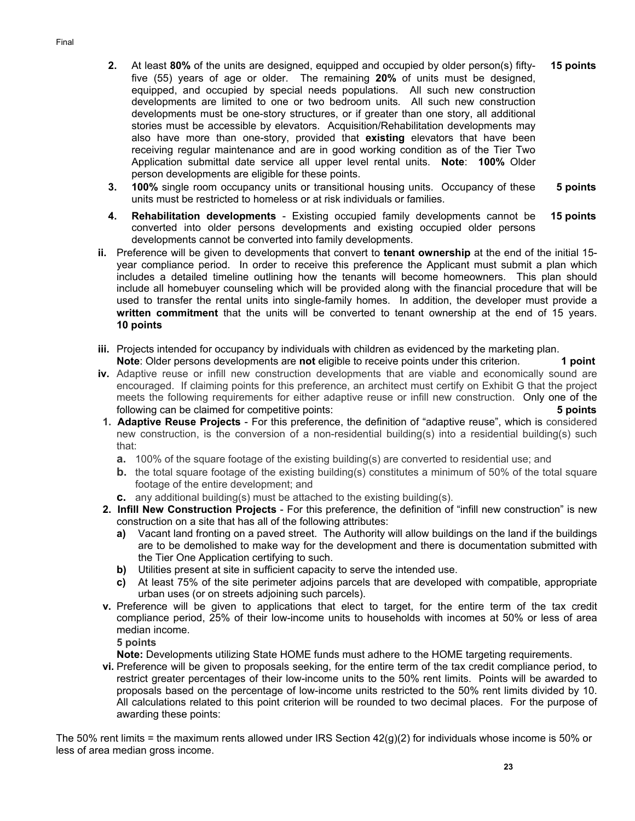- **2.** At least **80%** of the units are designed, equipped and occupied by older person(s) fiftyfive (55) years of age or older. The remaining **20%** of units must be designed, equipped, and occupied by special needs populations. All such new construction developments are limited to one or two bedroom units*.* All such new construction developments must be one-story structures, or if greater than one story, all additional stories must be accessible by elevators.Acquisition/Rehabilitation developments may also have more than one-story, provided that **existing** elevators that have been receiving regular maintenance and are in good working condition as of the Tier Two Application submittal date service all upper level rental units. **Note**: **100%** Older person developments are eligible for these points. **15 points**
- **3. 100%** single room occupancy units or transitional housing units. Occupancy of these units must be restricted to homeless or at risk individuals or families. **5 points**
- **4. Rehabilitation developments**  Existing occupied family developments cannot be converted into older persons developments and existing occupied older persons developments cannot be converted into family developments. **15 points**
- **ii.** Preference will be given to developments that convert to **tenant ownership** at the end of the initial 15 year compliance period. In order to receive this preference the Applicant must submit a plan which includes a detailed timeline outlining how the tenants will become homeowners. This plan should include all homebuyer counseling which will be provided along with the financial procedure that will be used to transfer the rental units into single-family homes. In addition, the developer must provide a **written commitment** that the units will be converted to tenant ownership at the end of 15 years. **10 points**
- **iii.** Projects intended for occupancy by individuals with children as evidenced by the marketing plan. **Note**: Older persons developments are **not** eligible to receive points under this criterion. **1 point**
- **iv.** Adaptive reuse or infill new construction developments that are viable and economically sound are encouraged. If claiming points for this preference, an architect must certify on Exhibit G that the project meets the following requirements for either adaptive reuse or infill new construction. Only one of the following can be claimed for competitive points: **5 points**
- **1. Adaptive Reuse Projects** For this preference, the definition of "adaptive reuse", which is considered new construction, is the conversion of a non-residential building(s) into a residential building(s) such that:
	- **a.** 100% of the square footage of the existing building(s) are converted to residential use; and
	- **b.** the total square footage of the existing building(s) constitutes a minimum of 50% of the total square footage of the entire development; and
	- **c.** any additional building(s) must be attached to the existing building(s).
- **2. Infill New Construction Projects**  For this preference, the definition of "infill new construction" is new construction on a site that has all of the following attributes:
	- **a)** Vacant land fronting on a paved street. The Authority will allow buildings on the land if the buildings are to be demolished to make way for the development and there is documentation submitted with the Tier One Application certifying to such.
	- **b)** Utilities present at site in sufficient capacity to serve the intended use.
	- **c)** At least 75% of the site perimeter adjoins parcels that are developed with compatible, appropriate urban uses (or on streets adjoining such parcels).
- **v.** Preference will be given to applications that elect to target, for the entire term of the tax credit compliance period, 25% of their low-income units to households with incomes at 50% or less of area median income.

**5 points**

**Note:** Developments utilizing State HOME funds must adhere to the HOME targeting requirements.

vi. Preference will be given to proposals seeking, for the entire term of the tax credit compliance period, to restrict greater percentages of their low-income units to the 50% rent limits. Points will be awarded to proposals based on the percentage of low-income units restricted to the 50% rent limits divided by 10. All calculations related to this point criterion will be rounded to two decimal places. For the purpose of awarding these points:

The 50% rent limits = the maximum rents allowed under IRS Section 42(g)(2) for individuals whose income is 50% or less of area median gross income.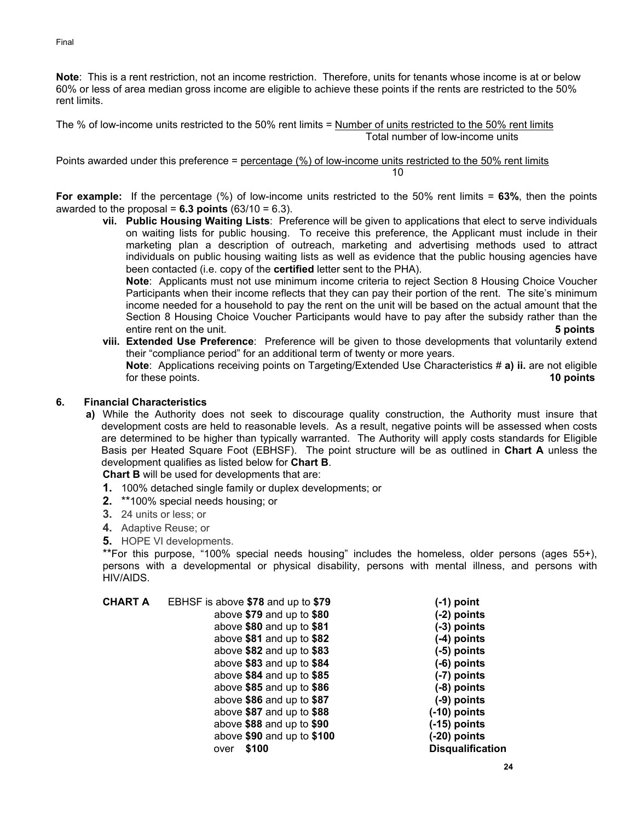**Note**: This is a rent restriction, not an income restriction. Therefore, units for tenants whose income is at or below 60% or less of area median gross income are eligible to achieve these points if the rents are restricted to the 50% rent limits.

The % of low-income units restricted to the 50% rent limits = Number of units restricted to the 50% rent limits Total number of low-income units

Points awarded under this preference = percentage (%) of low-income units restricted to the 50% rent limits  $10$ 

**For example:** If the percentage (%) of low-income units restricted to the 50% rent limits = **63%**, then the points awarded to the proposal =  $6.3$  points  $(63/10 = 6.3)$ .

**vii. Public Housing Waiting Lists**: Preference will be given to applications that elect to serve individuals on waiting lists for public housing. To receive this preference, the Applicant must include in their marketing plan a description of outreach, marketing and advertising methods used to attract individuals on public housing waiting lists as well as evidence that the public housing agencies have been contacted (i.e. copy of the **certified** letter sent to the PHA).

**Note**: Applicants must not use minimum income criteria to reject Section 8 Housing Choice Voucher Participants when their income reflects that they can pay their portion of the rent. The site's minimum income needed for a household to pay the rent on the unit will be based on the actual amount that the Section 8 Housing Choice Voucher Participants would have to pay after the subsidy rather than the entire rent on the unit. **5 points** 

**viii. Extended Use Preference**: Preference will be given to those developments that voluntarily extend their "compliance period" for an additional term of twenty or more years. **Note**: Applications receiving points on Targeting/Extended Use Characteristics # **a) ii.** are not eligible for these points. **10 points** 

### **6. Financial Characteristics**

**a)** While the Authority does not seek to discourage quality construction, the Authority must insure that development costs are held to reasonable levels. As a result, negative points will be assessed when costs are determined to be higher than typically warranted. The Authority will apply costs standards for Eligible Basis per Heated Square Foot (EBHSF). The point structure will be as outlined in **Chart A** unless the development qualifies as listed below for **Chart B**.

**Chart B** will be used for developments that are:

- **1.** 100% detached single family or duplex developments; or
- **2.** \*\*100% special needs housing; or
- **3.** 24 units or less; or
- **4.** Adaptive Reuse; or
- **5.** HOPE VI developments.

\*\*For this purpose, "100% special needs housing" includes the homeless, older persons (ages 55+), persons with a developmental or physical disability, persons with mental illness, and persons with HIV/AIDS.

| <b>CHART A</b> | EBHSF is above \$78 and up to \$79 | (-1) point              |
|----------------|------------------------------------|-------------------------|
|                | above \$79 and up to \$80          | (-2) points             |
|                | above \$80 and up to \$81          | (-3) points             |
|                | above $$81$ and up to $$82$        | (-4) points             |
|                | above \$82 and up to \$83          | (-5) points             |
|                | above $$83$ and up to $$84$        | (-6) points             |
|                | above $$84$ and up to $$85$        | (-7) points             |
|                | above $$85$ and up to $$86$        | (-8) points             |
|                | above \$86 and up to \$87          | (-9) points             |
|                | above \$87 and up to \$88          | (-10) points            |
|                | above \$88 and up to \$90          | (-15) points            |
|                | above $$90$ and up to $$100$       | (-20) points            |
|                | \$100<br>over                      | <b>Disqualification</b> |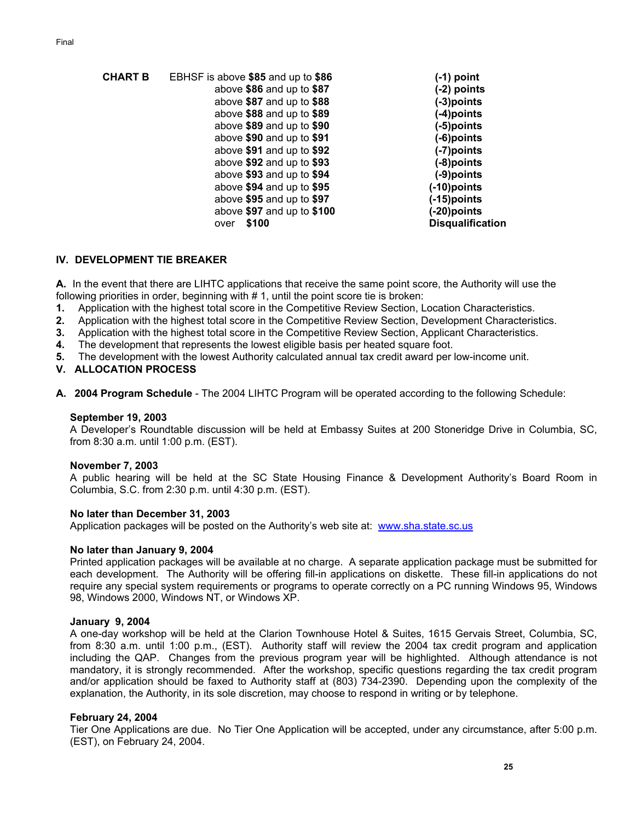| EBHSF is above \$85 and up to \$86 | $(-1)$ point            |
|------------------------------------|-------------------------|
| above \$86 and up to \$87          | $(-2)$ points           |
| above $$87$ and up to $$88$        | (-3)points              |
| above $$88$ and up to $$89$        | (-4)points              |
| above \$89 and up to \$90          | (-5)points              |
| above \$90 and up to \$91          | (-6)points              |
| above \$91 and up to \$92          | (-7)points              |
| above \$92 and up to \$93          | (-8)points              |
| above \$93 and up to \$94          | (-9)points              |
| above \$94 and up to \$95          | (-10)points             |
| above \$95 and up to \$97          | (-15)points             |
| above \$97 and up to \$100         | (-20)points             |
|                                    | <b>Disqualification</b> |
|                                    | \$100<br>over           |

### **IV. DEVELOPMENT TIE BREAKER**

**A.** In the event that there are LIHTC applications that receive the same point score, the Authority will use the following priorities in order, beginning with #1, until the point score tie is broken:

- **1.** Application with the highest total score in the Competitive Review Section, Location Characteristics.
- **2.** Application with the highest total score in the Competitive Review Section, Development Characteristics.
- **3.** Application with the highest total score in the Competitive Review Section, Applicant Characteristics.
- **4.** The development that represents the lowest eligible basis per heated square foot.
- **5.** The development with the lowest Authority calculated annual tax credit award per low-income unit.

**V. ALLOCATION PROCESS** 

**A. 2004 Program Schedule** - The 2004 LIHTC Program will be operated according to the following Schedule:

#### **September 19, 2003**

A Developer's Roundtable discussion will be held at Embassy Suites at 200 Stoneridge Drive in Columbia, SC, from 8:30 a.m. until 1:00 p.m. (EST).

#### **November 7, 2003**

A public hearing will be held at the SC State Housing Finance & Development Authority's Board Room in Columbia, S.C. from 2:30 p.m. until 4:30 p.m. (EST).

### **No later than December 31, 2003**

Application packages will be posted on the Authority's web site at: www.sha.state.sc.us

#### **No later than January 9, 2004**

Printed application packages will be available at no charge. A separate application package must be submitted for each development. The Authority will be offering fill-in applications on diskette. These fill-in applications do not require any special system requirements or programs to operate correctly on a PC running Windows 95, Windows 98, Windows 2000, Windows NT, or Windows XP.

#### **January 9, 2004**

A one-day workshop will be held at the Clarion Townhouse Hotel & Suites, 1615 Gervais Street, Columbia, SC, from 8:30 a.m. until 1:00 p.m., (EST). Authority staff will review the 2004 tax credit program and application including the QAP. Changes from the previous program year will be highlighted. Although attendance is not mandatory, it is strongly recommended. After the workshop, specific questions regarding the tax credit program and/or application should be faxed to Authority staff at (803) 734-2390. Depending upon the complexity of the explanation, the Authority, in its sole discretion, may choose to respond in writing or by telephone.

### **February 24, 2004**

Tier One Applications are due. No Tier One Application will be accepted, under any circumstance, after 5:00 p.m. (EST), on February 24, 2004.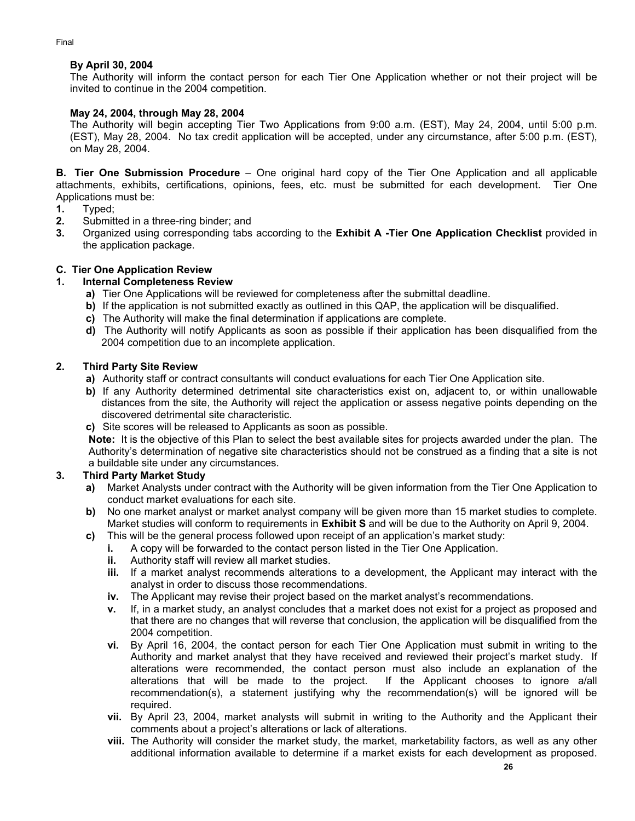## **By April 30, 2004**

The Authority will inform the contact person for each Tier One Application whether or not their project will be invited to continue in the 2004 competition.

## **May 24, 2004, through May 28, 2004**

The Authority will begin accepting Tier Two Applications from 9:00 a.m. (EST), May 24, 2004, until 5:00 p.m. (EST), May 28, 2004. No tax credit application will be accepted, under any circumstance, after 5:00 p.m. (EST), on May 28, 2004.

**B. Tier One Submission Procedure** – One original hard copy of the Tier One Application and all applicable attachments, exhibits, certifications, opinions, fees, etc. must be submitted for each development. Tier One Applications must be:

- **1.** Typed;
- **2.** Submitted in a three-ring binder; and
- **3.** Organized using corresponding tabs according to the **Exhibit A -Tier One Application Checklist** provided in the application package.

## **C. Tier One Application Review**

## **1. Internal Completeness Review**

- **a)** Tier One Applications will be reviewed for completeness after the submittal deadline.
- **b)** If the application is not submitted exactly as outlined in this QAP, the application will be disqualified.
- **c)** The Authority will make the final determination if applications are complete.
- **d)** The Authority will notify Applicants as soon as possible if their application has been disqualified from the 2004 competition due to an incomplete application.

## **2. Third Party Site Review**

- **a)** Authority staff or contract consultants will conduct evaluations for each Tier One Application site.
- **b)** If any Authority determined detrimental site characteristics exist on, adjacent to, or within unallowable distances from the site, the Authority will reject the application or assess negative points depending on the discovered detrimental site characteristic.
- **c)** Site scores will be released to Applicants as soon as possible.

**Note:** It is the objective of this Plan to select the best available sites for projects awarded under the plan. The Authority's determination of negative site characteristics should not be construed as a finding that a site is not a buildable site under any circumstances.

## **3. Third Party Market Study**

- **a)** Market Analysts under contract with the Authority will be given information from the Tier One Application to conduct market evaluations for each site.
- **b)** No one market analyst or market analyst company will be given more than 15 market studies to complete. Market studies will conform to requirements in **Exhibit S** and will be due to the Authority on April 9, 2004.
- **c)** This will be the general process followed upon receipt of an application's market study:
	- **i.** A copy will be forwarded to the contact person listed in the Tier One Application.
	- **ii.** Authority staff will review all market studies.
	- **iii.** If a market analyst recommends alterations to a development, the Applicant may interact with the analyst in order to discuss those recommendations.
	- **iv.** The Applicant may revise their project based on the market analyst's recommendations.
	- **v.** If, in a market study, an analyst concludes that a market does not exist for a project as proposed and that there are no changes that will reverse that conclusion, the application will be disqualified from the 2004 competition.
	- **vi.** By April 16, 2004, the contact person for each Tier One Application must submit in writing to the Authority and market analyst that they have received and reviewed their project's market study. If alterations were recommended, the contact person must also include an explanation of the alterations that will be made to the project. If the Applicant chooses to ignore a/all recommendation(s), a statement justifying why the recommendation(s) will be ignored will be required.
	- **vii.** By April 23, 2004, market analysts will submit in writing to the Authority and the Applicant their comments about a project's alterations or lack of alterations.
	- **viii.** The Authority will consider the market study, the market, marketability factors, as well as any other additional information available to determine if a market exists for each development as proposed.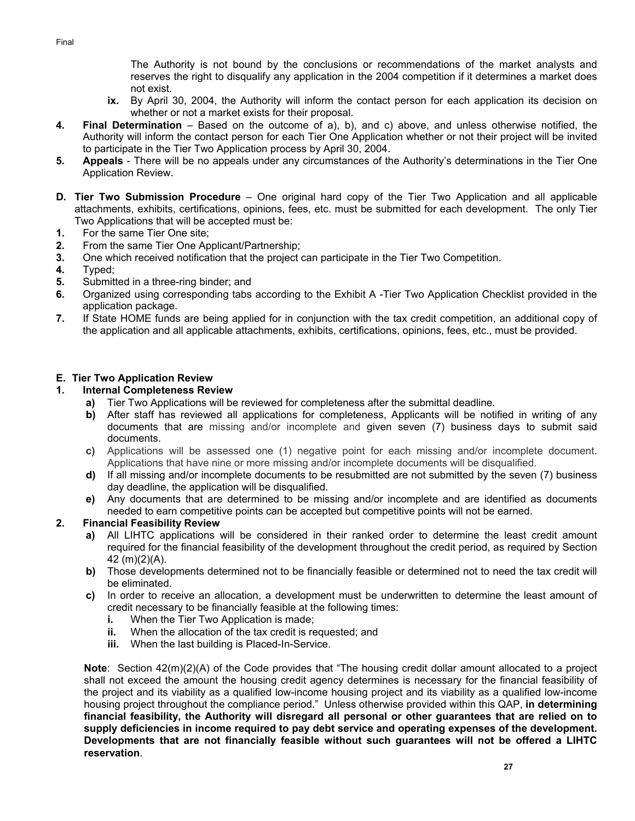The Authority is not bound by the conclusions or recommendations of the market analysts and reserves the right to disqualify any application in the 2004 competition if it determines a market does not exist.

- **ix.** By April 30, 2004, the Authority will inform the contact person for each application its decision on whether or not a market exists for their proposal.
- **4. Final Determination**  Based on the outcome of a), b), and c) above, and unless otherwise notified, the Authority will inform the contact person for each Tier One Application whether or not their project will be invited to participate in the Tier Two Application process by April 30, 2004.
- **5. Appeals**  There will be no appeals under any circumstances of the Authority's determinations in the Tier One Application Review.
- **D. Tier Two Submission Procedure** One original hard copy of the Tier Two Application and all applicable attachments, exhibits, certifications, opinions, fees, etc. must be submitted for each development. The only Tier Two Applications that will be accepted must be:
- **1.** For the same Tier One site;
- **2.** From the same Tier One Applicant/Partnership;
- **3.** One which received notification that the project can participate in the Tier Two Competition.
- **4.** Typed;
- **5.** Submitted in a three-ring binder; and
- **6.** Organized using corresponding tabs according to the Exhibit A -Tier Two Application Checklist provided in the application package.
- **7.** If State HOME funds are being applied for in conjunction with the tax credit competition, an additional copy of the application and all applicable attachments, exhibits, certifications, opinions, fees, etc., must be provided.

## **E. Tier Two Application Review**

## **1. Internal Completeness Review**

- **a)** Tier Two Applications will be reviewed for completeness after the submittal deadline.
- **b)** After staff has reviewed all applications for completeness, Applicants will be notified in writing of any documents that are missing and/or incomplete and given seven (7) business days to submit said documents.
- **c)** Applications will be assessed one (1) negative point for each missing and/or incomplete document. Applications that have nine or more missing and/or incomplete documents will be disqualified.
- **d)** If all missing and/or incomplete documents to be resubmitted are not submitted by the seven (7) business day deadline, the application will be disqualified.
- **e)** Any documents that are determined to be missing and/or incomplete and are identified as documents needed to earn competitive points can be accepted but competitive points will not be earned.

## **2. Financial Feasibility Review**

- **a)** All LIHTC applications will be considered in their ranked order to determine the least credit amount required for the financial feasibility of the development throughout the credit period, as required by Section 42 (m)(2)(A).
- **b)** Those developments determined not to be financially feasible or determined not to need the tax credit will be eliminated.
- **c)** In order to receive an allocation, a development must be underwritten to determine the least amount of credit necessary to be financially feasible at the following times:
	- **i.** When the Tier Two Application is made;
	- **ii.** When the allocation of the tax credit is requested; and
	- **iii.** When the last building is Placed-In-Service.

**Note**: Section 42(m)(2)(A) of the Code provides that "The housing credit dollar amount allocated to a project shall not exceed the amount the housing credit agency determines is necessary for the financial feasibility of the project and its viability as a qualified low-income housing project and its viability as a qualified low-income housing project throughout the compliance period." Unless otherwise provided within this QAP, **in determining financial feasibility, the Authority will disregard all personal or other guarantees that are relied on to supply deficiencies in income required to pay debt service and operating expenses of the development. Developments that are not financially feasible without such guarantees will not be offered a LIHTC reservation**.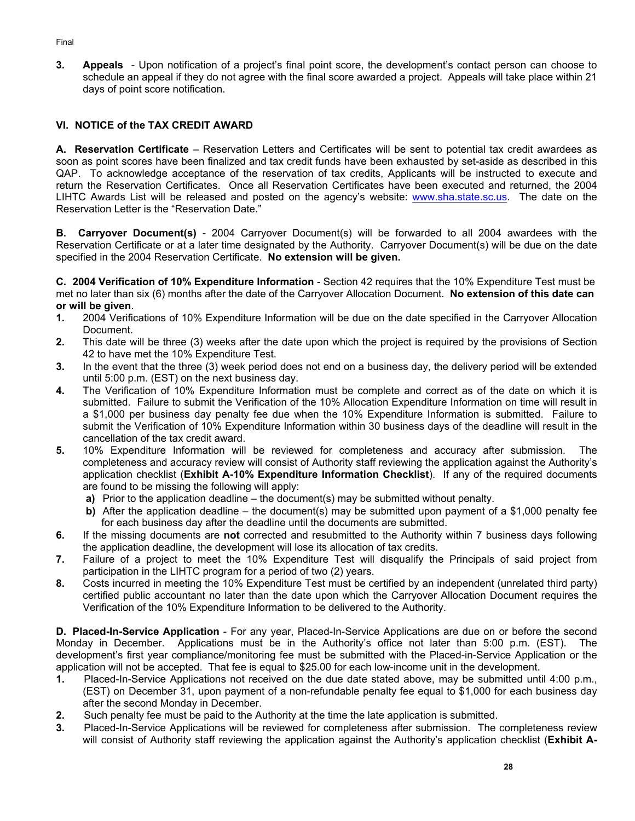**3. Appeals** - Upon notification of a project's final point score, the development's contact person can choose to schedule an appeal if they do not agree with the final score awarded a project. Appeals will take place within 21 days of point score notification.

## **VI. NOTICE of the TAX CREDIT AWARD**

**A. Reservation Certificate** – Reservation Letters and Certificates will be sent to potential tax credit awardees as soon as point scores have been finalized and tax credit funds have been exhausted by set-aside as described in this QAP. To acknowledge acceptance of the reservation of tax credits, Applicants will be instructed to execute and return the Reservation Certificates. Once all Reservation Certificates have been executed and returned, the 2004 LIHTC Awards List will be released and posted on the agency's website: www.sha.state.sc.us. The date on the Reservation Letter is the "Reservation Date."

**B. Carryover Document(s)** - 2004 Carryover Document(s) will be forwarded to all 2004 awardees with the Reservation Certificate or at a later time designated by the Authority. Carryover Document(s) will be due on the date specified in the 2004 Reservation Certificate. **No extension will be given.**

**C. 2004 Verification of 10% Expenditure Information** - Section 42 requires that the 10% Expenditure Test must be met no later than six (6) months after the date of the Carryover Allocation Document. **No extension of this date can or will be given**.

- **1.** 2004 Verifications of 10% Expenditure Information will be due on the date specified in the Carryover Allocation Document.
- **2.** This date will be three (3) weeks after the date upon which the project is required by the provisions of Section 42 to have met the 10% Expenditure Test.
- **3.** In the event that the three (3) week period does not end on a business day, the delivery period will be extended until 5:00 p.m. (EST) on the next business day.
- **4.** The Verification of 10% Expenditure Information must be complete and correct as of the date on which it is submitted. Failure to submit the Verification of the 10% Allocation Expenditure Information on time will result in a \$1,000 per business day penalty fee due when the 10% Expenditure Information is submitted. Failure to submit the Verification of 10% Expenditure Information within 30 business days of the deadline will result in the cancellation of the tax credit award.
- **5.** 10% Expenditure Information will be reviewed for completeness and accuracy after submission. The completeness and accuracy review will consist of Authority staff reviewing the application against the Authority's application checklist (**Exhibit A-10% Expenditure Information Checklist**). If any of the required documents are found to be missing the following will apply:
	- **a)** Prior to the application deadline the document(s) may be submitted without penalty.
	- **b)** After the application deadline the document(s) may be submitted upon payment of a \$1,000 penalty fee for each business day after the deadline until the documents are submitted.
- **6.** If the missing documents are **not** corrected and resubmitted to the Authority within 7 business days following the application deadline, the development will lose its allocation of tax credits.
- **7.** Failure of a project to meet the 10% Expenditure Test will disqualify the Principals of said project from participation in the LIHTC program for a period of two (2) years.
- **8.** Costs incurred in meeting the 10% Expenditure Test must be certified by an independent (unrelated third party) certified public accountant no later than the date upon which the Carryover Allocation Document requires the Verification of the 10% Expenditure Information to be delivered to the Authority.

**D. Placed-In-Service Application** - For any year, Placed-In-Service Applications are due on or before the second Monday in December. Applications must be in the Authority's office not later than 5:00 p.m. (EST). The development's first year compliance/monitoring fee must be submitted with the Placed-in-Service Application or the application will not be accepted. That fee is equal to \$25.00 for each low-income unit in the development.

- **1.** Placed-In-Service Applications not received on the due date stated above, may be submitted until 4:00 p.m., (EST) on December 31, upon payment of a non-refundable penalty fee equal to \$1,000 for each business day after the second Monday in December.
- **2.** Such penalty fee must be paid to the Authority at the time the late application is submitted.
- **3.** Placed-In-Service Applications will be reviewed for completeness after submission. The completeness review will consist of Authority staff reviewing the application against the Authority's application checklist (**Exhibit A-**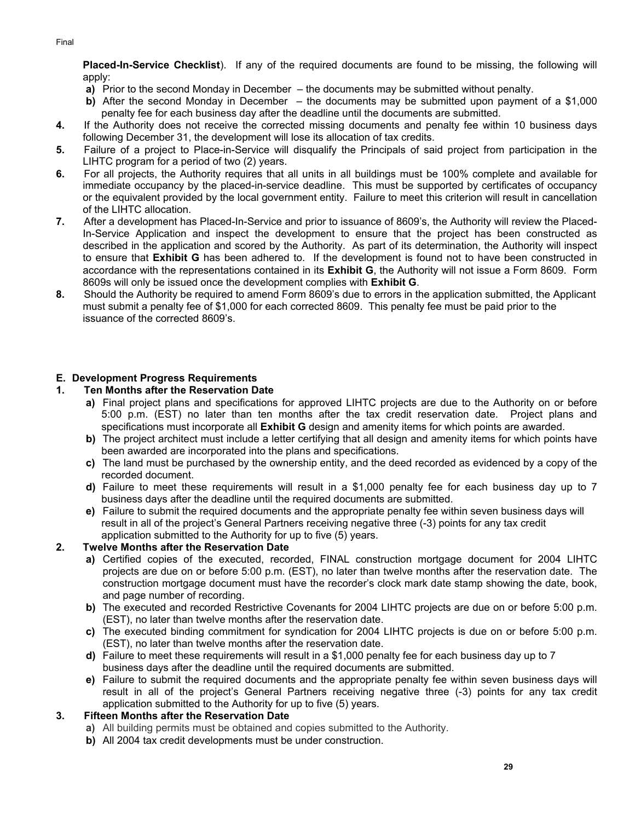**Placed-In-Service Checklist**). If any of the required documents are found to be missing, the following will apply:

- **a)** Prior to the second Monday in December the documents may be submitted without penalty.
- **b)** After the second Monday in December the documents may be submitted upon payment of a \$1,000 penalty fee for each business day after the deadline until the documents are submitted.
- **4.** If the Authority does not receive the corrected missing documents and penalty fee within 10 business days following December 31, the development will lose its allocation of tax credits.
- **5.** Failure of a project to Place-in-Service will disqualify the Principals of said project from participation in the LIHTC program for a period of two (2) years.
- **6.** For all projects, the Authority requires that all units in all buildings must be 100% complete and available for immediate occupancy by the placed-in-service deadline. This must be supported by certificates of occupancy or the equivalent provided by the local government entity. Failure to meet this criterion will result in cancellation of the LIHTC allocation.
- **7.** After a development has Placed-In-Service and prior to issuance of 8609's, the Authority will review the Placed-In-Service Application and inspect the development to ensure that the project has been constructed as described in the application and scored by the Authority. As part of its determination, the Authority will inspect to ensure that **Exhibit G** has been adhered to. If the development is found not to have been constructed in accordance with the representations contained in its **Exhibit G**, the Authority will not issue a Form 8609. Form 8609s will only be issued once the development complies with **Exhibit G**.
- **8.** Should the Authority be required to amend Form 8609's due to errors in the application submitted, the Applicant must submit a penalty fee of \$1,000 for each corrected 8609. This penalty fee must be paid prior to the issuance of the corrected 8609's.

## **E. Development Progress Requirements**

## **1. Ten Months after the Reservation Date**

- **a)** Final project plans and specifications for approved LIHTC projects are due to the Authority on or before 5:00 p.m. (EST) no later than ten months after the tax credit reservation date. Project plans and specifications must incorporate all **Exhibit G** design and amenity items for which points are awarded.
- **b)** The project architect must include a letter certifying that all design and amenity items for which points have been awarded are incorporated into the plans and specifications.
- **c)** The land must be purchased by the ownership entity, and the deed recorded as evidenced by a copy of the recorded document.
- **d)** Failure to meet these requirements will result in a \$1,000 penalty fee for each business day up to 7 business days after the deadline until the required documents are submitted.
- **e)** Failure to submit the required documents and the appropriate penalty fee within seven business days will result in all of the project's General Partners receiving negative three (-3) points for any tax credit application submitted to the Authority for up to five (5) years.

# **2. Twelve Months after the Reservation Date**

- **a)** Certified copies of the executed, recorded, FINAL construction mortgage document for 2004 LIHTC projects are due on or before 5:00 p.m. (EST), no later than twelve months after the reservation date. The construction mortgage document must have the recorder's clock mark date stamp showing the date, book, and page number of recording.
- **b)** The executed and recorded Restrictive Covenants for 2004 LIHTC projects are due on or before 5:00 p.m. (EST), no later than twelve months after the reservation date.
- **c)** The executed binding commitment for syndication for 2004 LIHTC projects is due on or before 5:00 p.m. (EST), no later than twelve months after the reservation date.
- **d)** Failure to meet these requirements will result in a \$1,000 penalty fee for each business day up to 7 business days after the deadline until the required documents are submitted.
- **e)** Failure to submit the required documents and the appropriate penalty fee within seven business days will result in all of the project's General Partners receiving negative three (-3) points for any tax credit application submitted to the Authority for up to five (5) years.

# **3. Fifteen Months after the Reservation Date**

- **a)** All building permits must be obtained and copies submitted to the Authority.
- **b)** All 2004 tax credit developments must be under construction.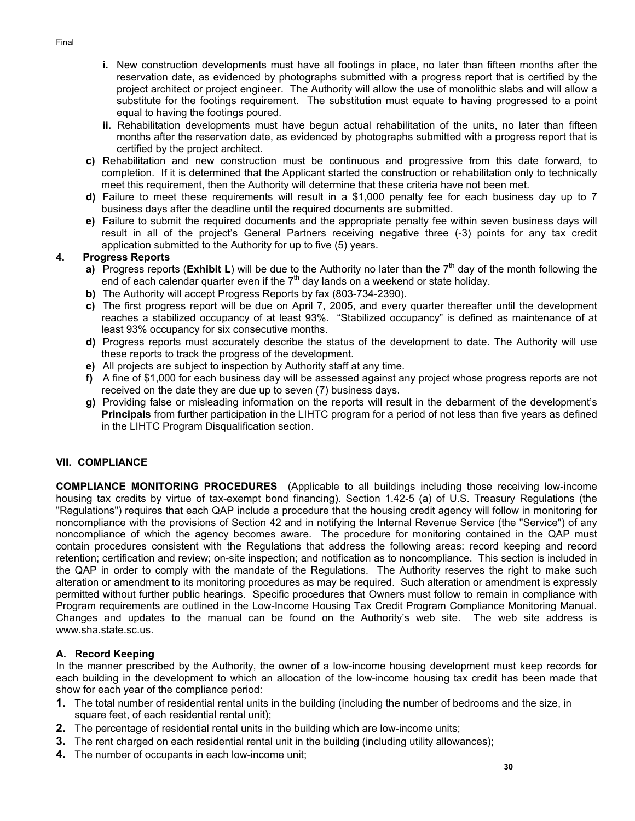- **i.** New construction developments must have all footings in place, no later than fifteen months after the reservation date, as evidenced by photographs submitted with a progress report that is certified by the project architect or project engineer. The Authority will allow the use of monolithic slabs and will allow a substitute for the footings requirement. The substitution must equate to having progressed to a point equal to having the footings poured.
- **ii.** Rehabilitation developments must have begun actual rehabilitation of the units, no later than fifteen months after the reservation date, as evidenced by photographs submitted with a progress report that is certified by the project architect.
- **c)** Rehabilitation and new construction must be continuous and progressive from this date forward, to completion. If it is determined that the Applicant started the construction or rehabilitation only to technically meet this requirement, then the Authority will determine that these criteria have not been met.
- **d)** Failure to meet these requirements will result in a \$1,000 penalty fee for each business day up to 7 business days after the deadline until the required documents are submitted.
- **e)** Failure to submit the required documents and the appropriate penalty fee within seven business days will result in all of the project's General Partners receiving negative three (-3) points for any tax credit application submitted to the Authority for up to five (5) years.

## **4. Progress Reports**

- **a)** Progress reports (**Exhibit L**) will be due to the Authority no later than the 7<sup>th</sup> day of the month following the end of each calendar quarter even if the  $7<sup>th</sup>$  day lands on a weekend or state holiday.
- **b)** The Authority will accept Progress Reports by fax (803-734-2390).
- **c)** The first progress report will be due on April 7, 2005, and every quarter thereafter until the development reaches a stabilized occupancy of at least 93%. "Stabilized occupancy" is defined as maintenance of at least 93% occupancy for six consecutive months.
- **d)** Progress reports must accurately describe the status of the development to date. The Authority will use these reports to track the progress of the development.
- **e)** All projects are subject to inspection by Authority staff at any time.
- **f)** A fine of \$1,000 for each business day will be assessed against any project whose progress reports are not received on the date they are due up to seven (7) business days.
- **g)** Providing false or misleading information on the reports will result in the debarment of the development's **Principals** from further participation in the LIHTC program for a period of not less than five years as defined in the LIHTC Program Disqualification section.

# **VII. COMPLIANCE**

**COMPLIANCE MONITORING PROCEDURES**(Applicable to all buildings including those receiving low-income housing tax credits by virtue of tax-exempt bond financing). Section 1.42-5 (a) of U.S. Treasury Regulations (the "Regulations") requires that each QAP include a procedure that the housing credit agency will follow in monitoring for noncompliance with the provisions of Section 42 and in notifying the Internal Revenue Service (the "Service") of any noncompliance of which the agency becomes aware. The procedure for monitoring contained in the QAP must contain procedures consistent with the Regulations that address the following areas: record keeping and record retention; certification and review; on-site inspection; and notification as to noncompliance. This section is included in the QAP in order to comply with the mandate of the Regulations. The Authority reserves the right to make such alteration or amendment to its monitoring procedures as may be required. Such alteration or amendment is expressly permitted without further public hearings. Specific procedures that Owners must follow to remain in compliance with Program requirements are outlined in the Low-Income Housing Tax Credit Program Compliance Monitoring Manual. Changes and updates to the manual can be found on the Authority's web site. The web site address is www.sha.state.sc.us.

## **A. Record Keeping**

In the manner prescribed by the Authority, the owner of a low-income housing development must keep records for each building in the development to which an allocation of the low-income housing tax credit has been made that show for each year of the compliance period:

- **1.** The total number of residential rental units in the building (including the number of bedrooms and the size, in square feet, of each residential rental unit);
- **2.** The percentage of residential rental units in the building which are low-income units;
- **3.** The rent charged on each residential rental unit in the building (including utility allowances);
- **4.** The number of occupants in each low-income unit;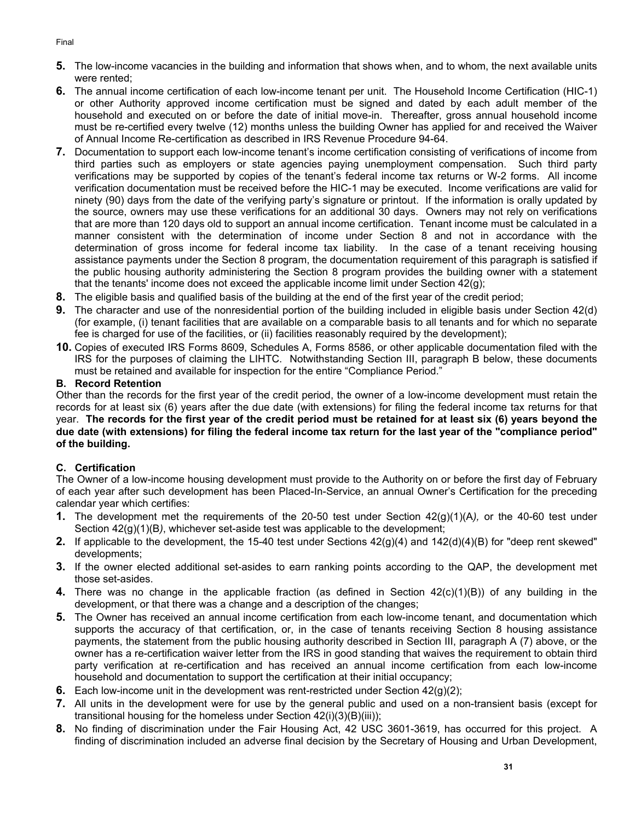- **5.** The low-income vacancies in the building and information that shows when, and to whom, the next available units were rented;
- **6.** The annual income certification of each low-income tenant per unit. The Household Income Certification (HIC-1) or other Authority approved income certification must be signed and dated by each adult member of the household and executed on or before the date of initial move-in. Thereafter, gross annual household income must be re-certified every twelve (12) months unless the building Owner has applied for and received the Waiver of Annual Income Re-certification as described in IRS Revenue Procedure 94-64.
- **7.** Documentation to support each low-income tenant's income certification consisting of verifications of income from third parties such as employers or state agencies paying unemployment compensation. Such third party verifications may be supported by copies of the tenant's federal income tax returns or W-2 forms. All income verification documentation must be received before the HIC-1 may be executed. Income verifications are valid for ninety (90) days from the date of the verifying party's signature or printout. If the information is orally updated by the source, owners may use these verifications for an additional 30 days. Owners may not rely on verifications that are more than 120 days old to support an annual income certification. Tenant income must be calculated in a manner consistent with the determination of income under Section 8 and not in accordance with the determination of gross income for federal income tax liability. In the case of a tenant receiving housing assistance payments under the Section 8 program, the documentation requirement of this paragraph is satisfied if the public housing authority administering the Section 8 program provides the building owner with a statement that the tenants' income does not exceed the applicable income limit under Section 42(g);
- **8.** The eligible basis and qualified basis of the building at the end of the first year of the credit period;
- **9.** The character and use of the nonresidential portion of the building included in eligible basis under Section 42(d) (for example, (i) tenant facilities that are available on a comparable basis to all tenants and for which no separate fee is charged for use of the facilities, or (ii) facilities reasonably required by the development);
- **10.** Copies of executed IRS Forms 8609, Schedules A, Forms 8586, or other applicable documentation filed with the IRS for the purposes of claiming the LIHTC. Notwithstanding Section III, paragraph B below, these documents must be retained and available for inspection for the entire "Compliance Period."

## **B. Record Retention**

Other than the records for the first year of the credit period, the owner of a low-income development must retain the records for at least six (6) years after the due date (with extensions) for filing the federal income tax returns for that year. **The records for the first year of the credit period must be retained for at least six (6) years beyond the due date (with extensions) for filing the federal income tax return for the last year of the "compliance period" of the building.** 

# **C. Certification**

The Owner of a low-income housing development must provide to the Authority on or before the first day of February of each year after such development has been Placed-In-Service, an annual Owner's Certification for the preceding calendar year which certifies:

- **1.** The development met the requirements of the 20-50 test under Section 42(g)(1)(A*),* or the 40-60 test under Section 42(g)(1)(B*)*, whichever set-aside test was applicable to the development;
- **2.** If applicable to the development, the 15-40 test under Sections 42(g)(4) and 142(d)(4)(B) for "deep rent skewed" developments;
- **3.** If the owner elected additional set-asides to earn ranking points according to the QAP, the development met those set-asides.
- **4.** There was no change in the applicable fraction (as defined in Section 42(c)(1)(B)) of any building in the development, or that there was a change and a description of the changes;
- **5.** The Owner has received an annual income certification from each low-income tenant, and documentation which supports the accuracy of that certification, or, in the case of tenants receiving Section 8 housing assistance payments, the statement from the public housing authority described in Section III, paragraph A (7) above, or the owner has a re-certification waiver letter from the IRS in good standing that waives the requirement to obtain third party verification at re-certification and has received an annual income certification from each low-income household and documentation to support the certification at their initial occupancy;
- **6.** Each low-income unit in the development was rent-restricted under Section 42(g)(2);
- **7.** All units in the development were for use by the general public and used on a non-transient basis (except for transitional housing for the homeless under Section 42(i)(3)(B)(iii));
- **8.** No finding of discrimination under the Fair Housing Act, 42 USC 3601-3619, has occurred for this project. A finding of discrimination included an adverse final decision by the Secretary of Housing and Urban Development,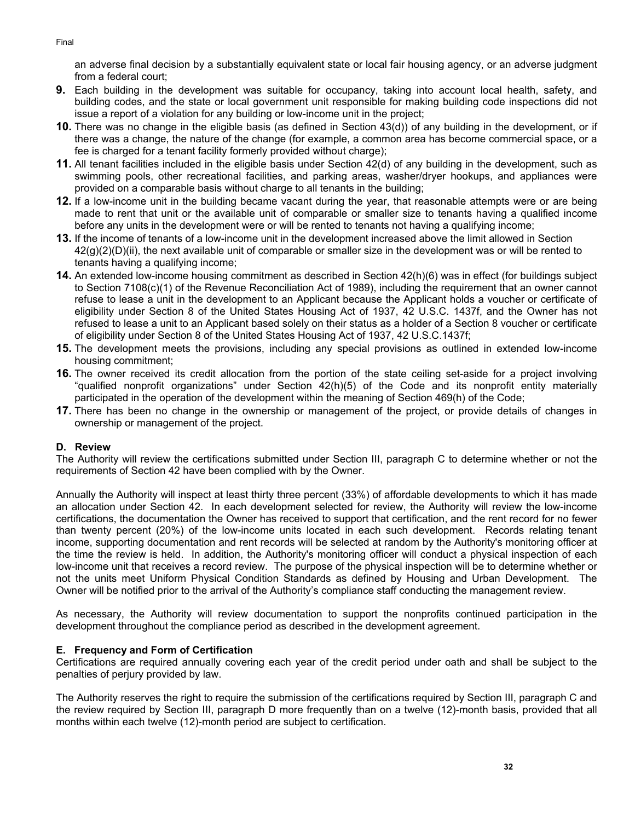an adverse final decision by a substantially equivalent state or local fair housing agency, or an adverse judgment from a federal court;

- **9.** Each building in the development was suitable for occupancy, taking into account local health, safety, and building codes, and the state or local government unit responsible for making building code inspections did not issue a report of a violation for any building or low-income unit in the project;
- **10.** There was no change in the eligible basis (as defined in Section 43(d)) of any building in the development, or if there was a change, the nature of the change (for example, a common area has become commercial space, or a fee is charged for a tenant facility formerly provided without charge);
- **11.** All tenant facilities included in the eligible basis under Section 42(d) of any building in the development, such as swimming pools, other recreational facilities, and parking areas, washer/dryer hookups, and appliances were provided on a comparable basis without charge to all tenants in the building;
- **12.** If a low-income unit in the building became vacant during the year, that reasonable attempts were or are being made to rent that unit or the available unit of comparable or smaller size to tenants having a qualified income before any units in the development were or will be rented to tenants not having a qualifying income;
- **13.** If the income of tenants of a low-income unit in the development increased above the limit allowed in Section 42(g)(2)(D)(ii), the next available unit of comparable or smaller size in the development was or will be rented to tenants having a qualifying income;
- **14.** An extended low-income housing commitment as described in Section 42(h)(6) was in effect (for buildings subject to Section 7108(c)(1) of the Revenue Reconciliation Act of 1989), including the requirement that an owner cannot refuse to lease a unit in the development to an Applicant because the Applicant holds a voucher or certificate of eligibility under Section 8 of the United States Housing Act of 1937, 42 U.S.C. 1437f, and the Owner has not refused to lease a unit to an Applicant based solely on their status as a holder of a Section 8 voucher or certificate of eligibility under Section 8 of the United States Housing Act of 1937, 42 U.S.C.1437f;
- **15.** The development meets the provisions, including any special provisions as outlined in extended low-income housing commitment;
- **16.** The owner received its credit allocation from the portion of the state ceiling set-aside for a project involving "qualified nonprofit organizations" under Section 42(h)(5) of the Code and its nonprofit entity materially participated in the operation of the development within the meaning of Section 469(h) of the Code;
- **17.** There has been no change in the ownership or management of the project, or provide details of changes in ownership or management of the project.

## **D. Review**

The Authority will review the certifications submitted under Section III, paragraph C to determine whether or not the requirements of Section 42 have been complied with by the Owner.

Annually the Authority will inspect at least thirty three percent (33%) of affordable developments to which it has made an allocation under Section 42. In each development selected for review, the Authority will review the low-income certifications, the documentation the Owner has received to support that certification, and the rent record for no fewer than twenty percent (20%) of the low-income units located in each such development. Records relating tenant income, supporting documentation and rent records will be selected at random by the Authority's monitoring officer at the time the review is held. In addition, the Authority's monitoring officer will conduct a physical inspection of each low-income unit that receives a record review. The purpose of the physical inspection will be to determine whether or not the units meet Uniform Physical Condition Standards as defined by Housing and Urban Development. The Owner will be notified prior to the arrival of the Authority's compliance staff conducting the management review.

As necessary, the Authority will review documentation to support the nonprofits continued participation in the development throughout the compliance period as described in the development agreement.

### **E. Frequency and Form of Certification**

Certifications are required annually covering each year of the credit period under oath and shall be subject to the penalties of perjury provided by law.

The Authority reserves the right to require the submission of the certifications required by Section III, paragraph C and the review required by Section III, paragraph D more frequently than on a twelve (12)-month basis, provided that all months within each twelve (12)-month period are subject to certification.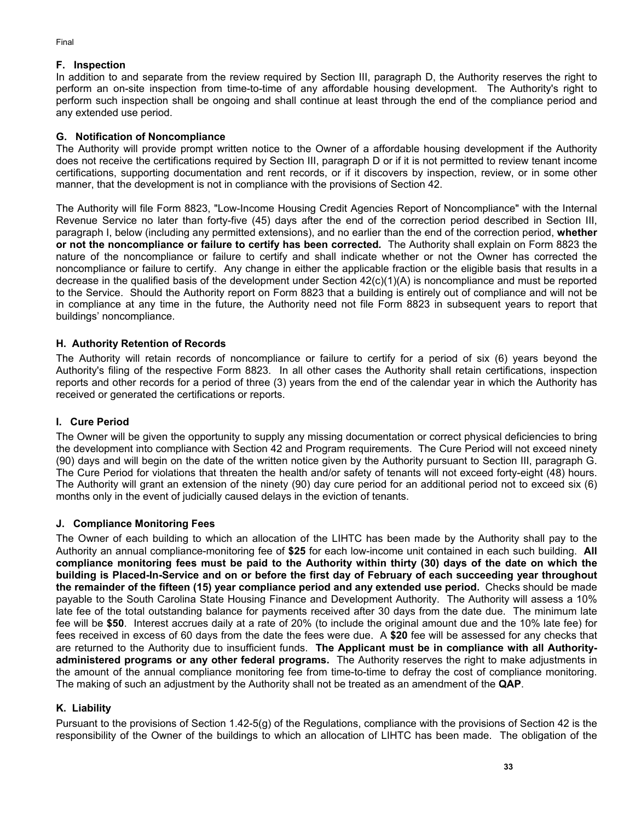## **F. Inspection**

In addition to and separate from the review required by Section III, paragraph D, the Authority reserves the right to perform an on-site inspection from time-to-time of any affordable housing development. The Authority's right to perform such inspection shall be ongoing and shall continue at least through the end of the compliance period and any extended use period.

## **G. Notification of Noncompliance**

The Authority will provide prompt written notice to the Owner of a affordable housing development if the Authority does not receive the certifications required by Section III, paragraph D or if it is not permitted to review tenant income certifications, supporting documentation and rent records, or if it discovers by inspection, review, or in some other manner, that the development is not in compliance with the provisions of Section 42.

The Authority will file Form 8823, "Low-Income Housing Credit Agencies Report of Noncompliance" with the Internal Revenue Service no later than forty-five (45) days after the end of the correction period described in Section III, paragraph I, below (including any permitted extensions), and no earlier than the end of the correction period, **whether or not the noncompliance or failure to certify has been corrected***.* The Authority shall explain on Form 8823 the nature of the noncompliance or failure to certify and shall indicate whether or not the Owner has corrected the noncompliance or failure to certify. Any change in either the applicable fraction or the eligible basis that results in a decrease in the qualified basis of the development under Section 42(c)(1)(A) is noncompliance and must be reported to the Service. Should the Authority report on Form 8823 that a building is entirely out of compliance and will not be in compliance at any time in the future, the Authority need not file Form 8823 in subsequent years to report that buildings' noncompliance.

## **H. Authority Retention of Records**

The Authority will retain records of noncompliance or failure to certify for a period of six (6) years beyond the Authority's filing of the respective Form 8823. In all other cases the Authority shall retain certifications, inspection reports and other records for a period of three (3) years from the end of the calendar year in which the Authority has received or generated the certifications or reports.

# **I. Cure Period**

The Owner will be given the opportunity to supply any missing documentation or correct physical deficiencies to bring the development into compliance with Section 42 and Program requirements. The Cure Period will not exceed ninety (90) days and will begin on the date of the written notice given by the Authority pursuant to Section III, paragraph G. The Cure Period for violations that threaten the health and/or safety of tenants will not exceed forty-eight (48) hours. The Authority will grant an extension of the ninety (90) day cure period for an additional period not to exceed six (6) months only in the event of judicially caused delays in the eviction of tenants.

## **J. Compliance Monitoring Fees**

The Owner of each building to which an allocation of the LIHTC has been made by the Authority shall pay to the Authority an annual compliance-monitoring fee of **\$25** for each low-income unit contained in each such building. **All compliance monitoring fees must be paid to the Authority within thirty (30) days of the date on which the building is Placed-In-Service and on or before the first day of February of each succeeding year throughout the remainder of the fifteen (15) year compliance period and any extended use period.** Checks should be made payable to the South Carolina State Housing Finance and Development Authority. The Authority will assess a 10% late fee of the total outstanding balance for payments received after 30 days from the date due. The minimum late fee will be **\$50**. Interest accrues daily at a rate of 20% (to include the original amount due and the 10% late fee) for fees received in excess of 60 days from the date the fees were due. A **\$20** fee will be assessed for any checks that are returned to the Authority due to insufficient funds. **The Applicant must be in compliance with all Authorityadministered programs or any other federal programs.** The Authority reserves the right to make adjustments in the amount of the annual compliance monitoring fee from time-to-time to defray the cost of compliance monitoring. The making of such an adjustment by the Authority shall not be treated as an amendment of the **QAP**.

## **K. Liability**

Pursuant to the provisions of Section 1.42-5(g) of the Regulations, compliance with the provisions of Section 42 is the responsibility of the Owner of the buildings to which an allocation of LIHTC has been made. The obligation of the